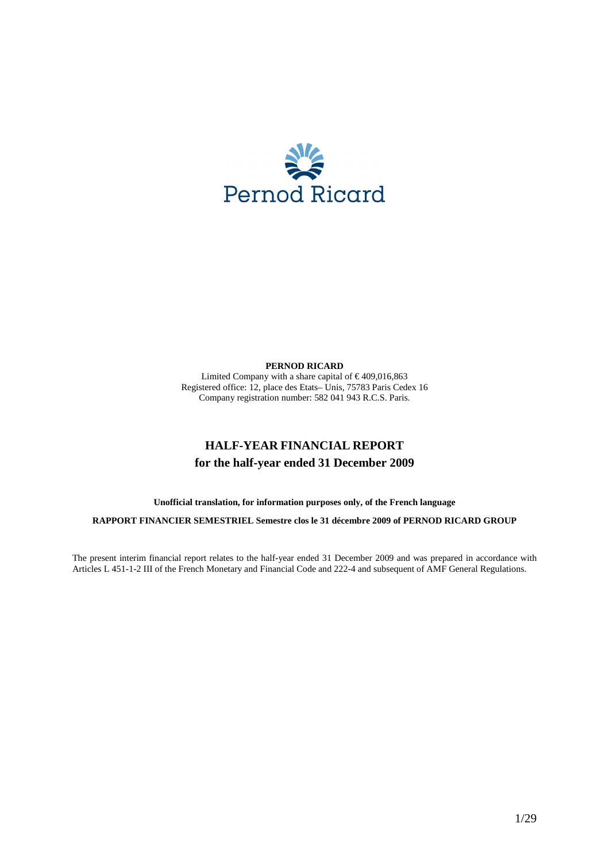

# **PERNOD RICARD**

Limited Company with a share capital of  $\in$  409,016,863 Registered office: 12, place des Etats– Unis, 75783 Paris Cedex 16 Company registration number: 582 041 943 R.C.S. Paris.

# **HALF-YEAR FINANCIAL REPORT for the half-year ended 31 December 2009**

**Unofficial translation, for information purposes only, of the French language** 

**RAPPORT FINANCIER SEMESTRIEL Semestre clos le 31 décembre 2009 of PERNOD RICARD GROUP** 

The present interim financial report relates to the half-year ended 31 December 2009 and was prepared in accordance with Articles L 451-1-2 III of the French Monetary and Financial Code and 222-4 and subsequent of AMF General Regulations.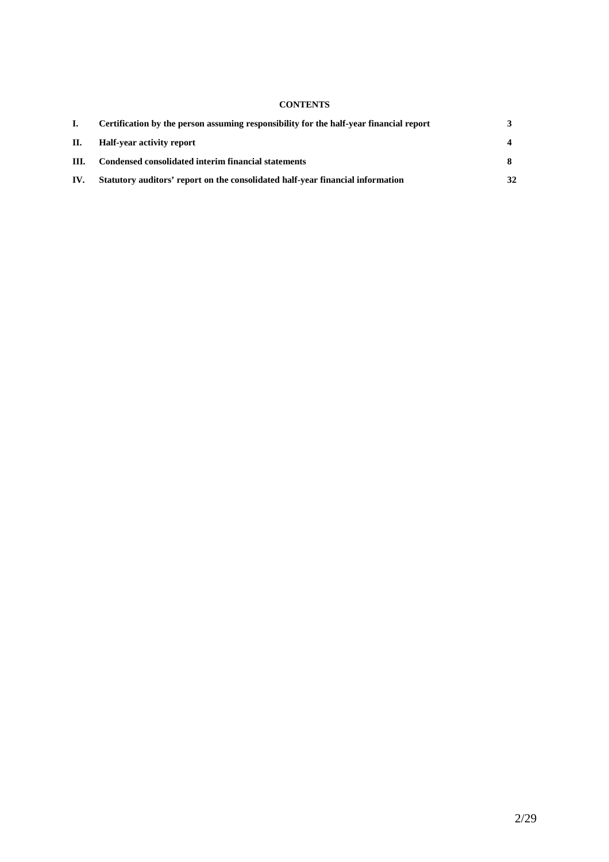# **CONTENTS**

|      | Certification by the person assuming responsibility for the half-year financial report |    |
|------|----------------------------------------------------------------------------------------|----|
| Н.   | Half-year activity report                                                              |    |
| III. | Condensed consolidated interim financial statements                                    |    |
| IV.  | Statutory auditors' report on the consolidated half-year financial information         | 32 |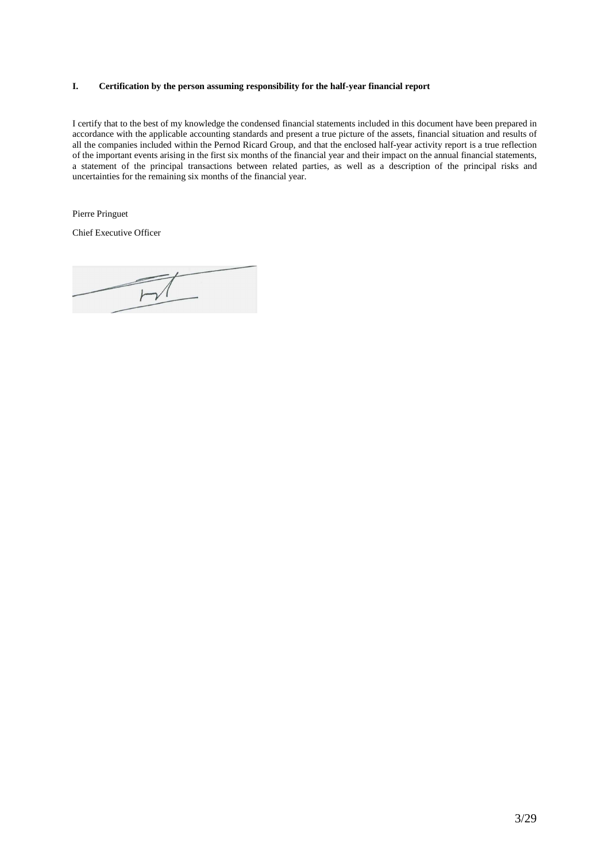# **I. Certification by the person assuming responsibility for the half-year financial report**

I certify that to the best of my knowledge the condensed financial statements included in this document have been prepared in accordance with the applicable accounting standards and present a true picture of the assets, financial situation and results of all the companies included within the Pernod Ricard Group, and that the enclosed half-year activity report is a true reflection of the important events arising in the first six months of the financial year and their impact on the annual financial statements, a statement of the principal transactions between related parties, as well as a description of the principal risks and uncertainties for the remaining six months of the financial year.

Pierre Pringuet

Chief Executive Officer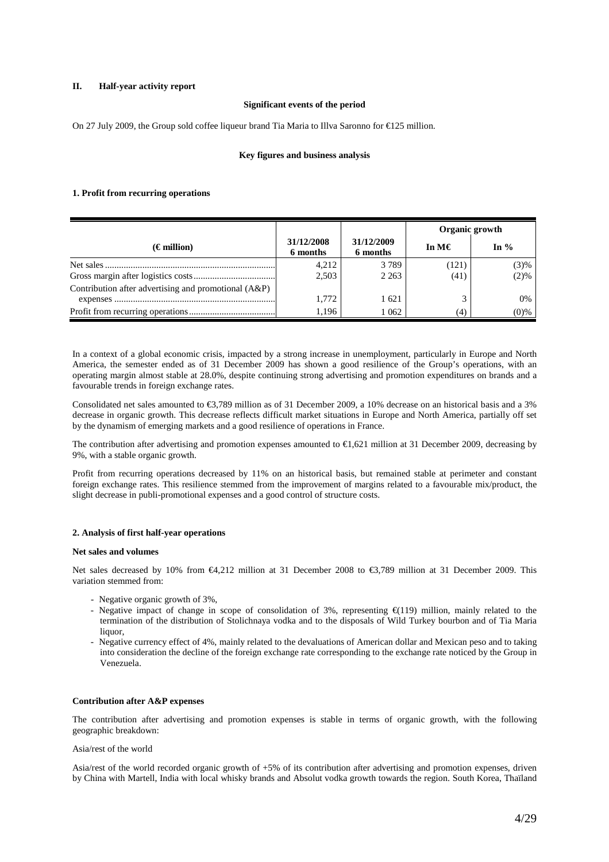# **II. Half-year activity report**

## **Significant events of the period**

On 27 July 2009, the Group sold coffee liqueur brand Tia Maria to Illva Saronno for €125 million.

# **Key figures and business analysis**

### **1. Profit from recurring operations**

|                                                      |                        |                        | Organic growth  |         |
|------------------------------------------------------|------------------------|------------------------|-----------------|---------|
| $(\epsilon$ million)                                 | 31/12/2008<br>6 months | 31/12/2009<br>6 months | In M $\epsilon$ | In $%$  |
|                                                      | 4,212                  | 3789                   | (121)           | (3)%    |
|                                                      | 2,503                  | 2 2 6 3                | (41)            | (2)%    |
| Contribution after advertising and promotional (A&P) |                        |                        |                 |         |
|                                                      | 1.772                  | 1 621                  | $\mathbf{r}$    | 0%      |
|                                                      | 1.196                  | 1 062                  | (4)             | $(0)$ % |

In a context of a global economic crisis, impacted by a strong increase in unemployment, particularly in Europe and North America, the semester ended as of 31 December 2009 has shown a good resilience of the Group's operations, with an operating margin almost stable at 28.0%, despite continuing strong advertising and promotion expenditures on brands and a favourable trends in foreign exchange rates.

Consolidated net sales amounted to €3,789 million as of 31 December 2009, a 10% decrease on an historical basis and a 3% decrease in organic growth. This decrease reflects difficult market situations in Europe and North America, partially off set by the dynamism of emerging markets and a good resilience of operations in France.

The contribution after advertising and promotion expenses amounted to  $\epsilon$ 1,621 million at 31 December 2009, decreasing by 9%, with a stable organic growth.

Profit from recurring operations decreased by 11% on an historical basis, but remained stable at perimeter and constant foreign exchange rates. This resilience stemmed from the improvement of margins related to a favourable mix/product, the slight decrease in publi-promotional expenses and a good control of structure costs.

## **2. Analysis of first half-year operations**

#### **Net sales and volumes**

Net sales decreased by 10% from €4,212 million at 31 December 2008 to €3,789 million at 31 December 2009. This variation stemmed from:

- Negative organic growth of 3%,
- Negative impact of change in scope of consolidation of 3%, representing €(119) million, mainly related to the termination of the distribution of Stolichnaya vodka and to the disposals of Wild Turkey bourbon and of Tia Maria liquor.
- Negative currency effect of 4%, mainly related to the devaluations of American dollar and Mexican peso and to taking into consideration the decline of the foreign exchange rate corresponding to the exchange rate noticed by the Group in Venezuela.

### **Contribution after A&P expenses**

The contribution after advertising and promotion expenses is stable in terms of organic growth, with the following geographic breakdown:

#### Asia/rest of the world

Asia/rest of the world recorded organic growth of +5% of its contribution after advertising and promotion expenses, driven by China with Martell, India with local whisky brands and Absolut vodka growth towards the region. South Korea, Thaïland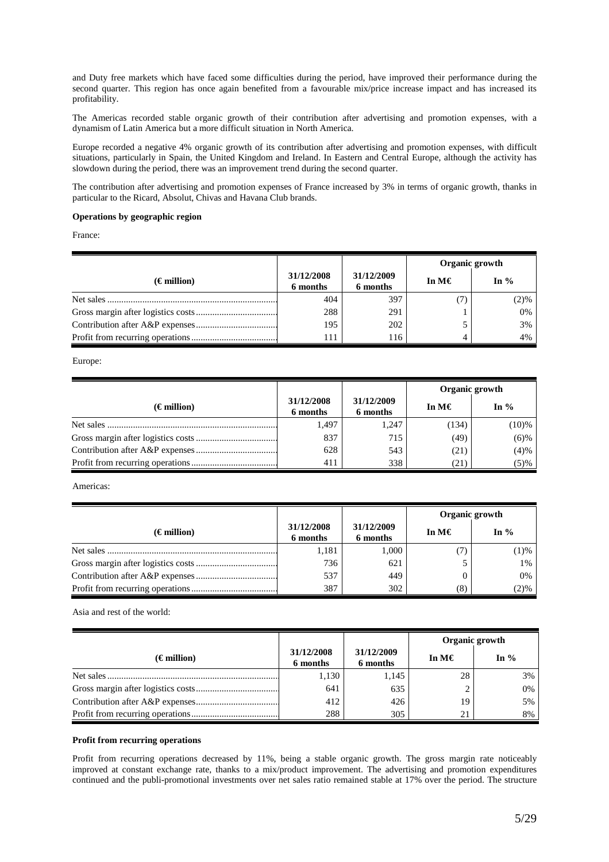and Duty free markets which have faced some difficulties during the period, have improved their performance during the second quarter. This region has once again benefited from a favourable mix/price increase impact and has increased its profitability.

The Americas recorded stable organic growth of their contribution after advertising and promotion expenses, with a dynamism of Latin America but a more difficult situation in North America.

Europe recorded a negative 4% organic growth of its contribution after advertising and promotion expenses, with difficult situations, particularly in Spain, the United Kingdom and Ireland. In Eastern and Central Europe, although the activity has slowdown during the period, there was an improvement trend during the second quarter.

The contribution after advertising and promotion expenses of France increased by 3% in terms of organic growth, thanks in particular to the Ricard, Absolut, Chivas and Havana Club brands.

### **Operations by geographic region**

France:

|                      |                        |                        | Organic growth |         |
|----------------------|------------------------|------------------------|----------------|---------|
| $(\epsilon$ million) | 31/12/2008<br>6 months | 31/12/2009<br>6 months | In M€          | In $\%$ |
|                      | 404                    | 397                    |                | (2)%    |
|                      | 288                    | 291                    |                | 0%      |
|                      | 195                    | 202                    |                | 3%      |
|                      | 111                    | 116                    |                | 4%      |

Europe:

|                      |                        |                        | Organic growth  |          |
|----------------------|------------------------|------------------------|-----------------|----------|
| $(\epsilon$ million) | 31/12/2008<br>6 months | 31/12/2009<br>6 months | In M $\epsilon$ | In $%$   |
|                      | 1,497                  | 1.247                  | (134)           | $(10)\%$ |
|                      | 837                    | 715                    | (49)            | $(6)$ %  |
|                      | 628                    | 543                    | (21)            | (4)%     |
|                      | 411                    | 338                    | (21)            | (5)%     |

Americas:

|                      |                        |                        | Organic growth  |        |
|----------------------|------------------------|------------------------|-----------------|--------|
| $(\epsilon$ million) | 31/12/2008<br>6 months | 31/12/2009<br>6 months | In M $\epsilon$ | In $%$ |
| Net sales            | 1,181                  | 1.000                  |                 | (1)%   |
|                      | 736                    | 621                    |                 | 1%     |
|                      | 537                    | 449                    |                 | $0\%$  |
|                      | 387                    | 302                    | (8)             | (2)%   |

Asia and rest of the world:

|                      |                        |                        | Organic growth  |        |
|----------------------|------------------------|------------------------|-----------------|--------|
| $(\epsilon$ million) | 31/12/2008<br>6 months | 31/12/2009<br>6 months | In M $\epsilon$ | In $%$ |
|                      | 1,130                  | 1,145                  | 28              | 3%     |
|                      | 641                    | 635                    |                 | 0%     |
|                      | 412                    | 426                    | 19              | 5%     |
|                      | 288                    | 305                    | 21              | 8%     |

#### **Profit from recurring operations**

Profit from recurring operations decreased by 11%, being a stable organic growth. The gross margin rate noticeably improved at constant exchange rate, thanks to a mix/product improvement. The advertising and promotion expenditures continued and the publi-promotional investments over net sales ratio remained stable at 17% over the period. The structure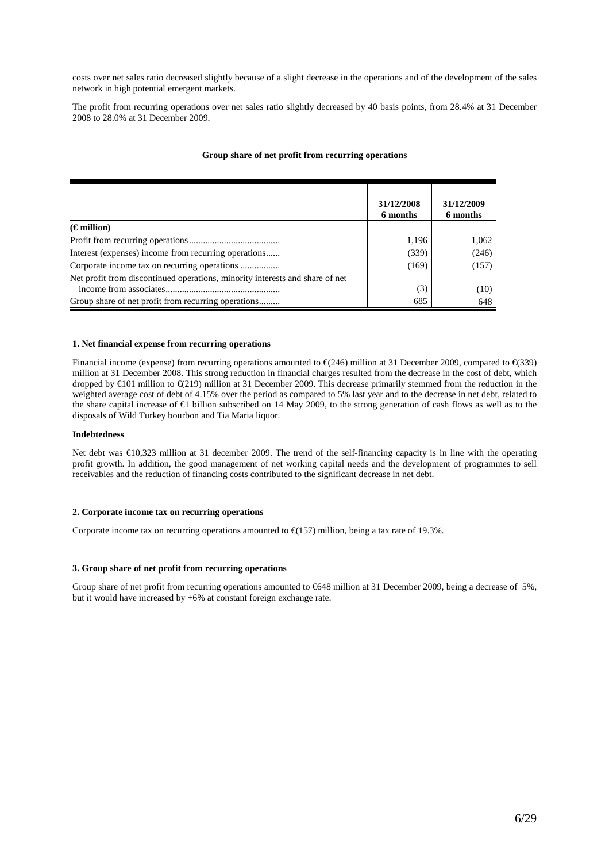costs over net sales ratio decreased slightly because of a slight decrease in the operations and of the development of the sales network in high potential emergent markets.

The profit from recurring operations over net sales ratio slightly decreased by 40 basis points, from 28.4% at 31 December 2008 to 28.0% at 31 December 2009.

# **Group share of net profit from recurring operations**

|                                                                              | 31/12/2008<br>6 months | 31/12/2009<br>6 months |
|------------------------------------------------------------------------------|------------------------|------------------------|
| $(\epsilon$ million)                                                         |                        |                        |
|                                                                              | 1,196                  | 1,062                  |
| Interest (expenses) income from recurring operations                         | (339)                  | (246)                  |
| Corporate income tax on recurring operations                                 | (169)                  | (157)                  |
| Net profit from discontinued operations, minority interests and share of net |                        |                        |
|                                                                              | (3)                    | (10)                   |
| Group share of net profit from recurring operations                          | 685                    | 648                    |

#### **1. Net financial expense from recurring operations**

Financial income (expense) from recurring operations amounted to  $\epsilon$ (246) million at 31 December 2009, compared to  $\epsilon$ (339) million at 31 December 2008. This strong reduction in financial charges resulted from the decrease in the cost of debt, which dropped by  $\text{\textsterling}101$  million to  $\text{\textsterling}$ (219) million at 31 Deember 2009. This decrease primarily stemmed from the reduction in the weighted average cost of debt of 4.15% over the period as compared to 5% last year and to the decrease in net debt, related to the share capital increase of €1 billion subscribed on 14 May 2009, to the strong generation of cash flows as well as to the disposals of Wild Turkey bourbon and Tia Maria liquor.

### **Indebtedness**

Net debt was €10,323 million at 31 december 2009. The trend of the self-financing capacity is in line with the operating profit growth. In addition, the good management of net working capital needs and the development of programmes to sell receivables and the reduction of financing costs contributed to the significant decrease in net debt.

# **2. Corporate income tax on recurring operations**

Corporate income tax on recurring operations amounted to  $\epsilon$ (157) million, being a tax rate of 19.3%.

#### **3. Group share of net profit from recurring operations**

Group share of net profit from recurring operations amounted to €648 million at 31 December 2009, being a decrease of 5%, but it would have increased by +6% at constant foreign exchange rate.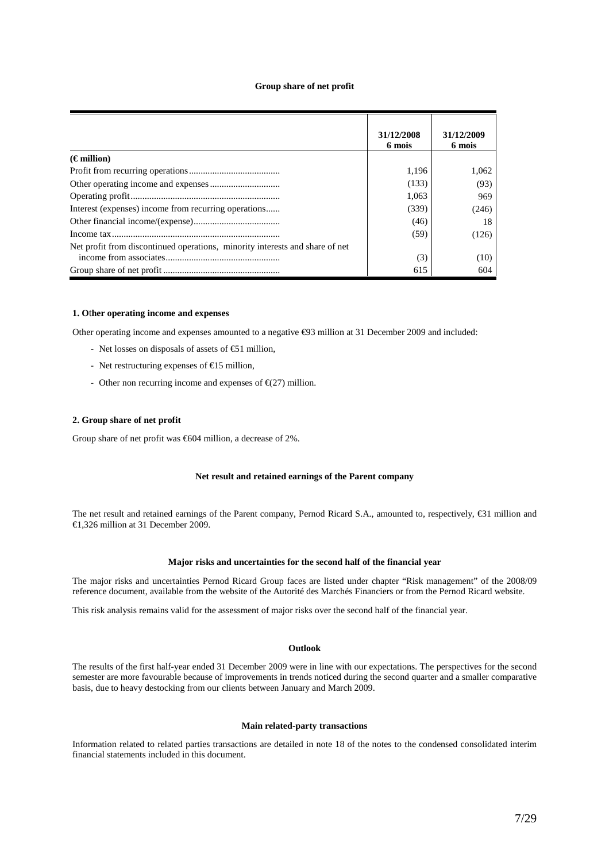#### **Group share of net profit**

|                                                                              | 31/12/2008<br>6 mois | 31/12/2009<br>6 mois |
|------------------------------------------------------------------------------|----------------------|----------------------|
| $(\epsilon$ million)                                                         |                      |                      |
|                                                                              | 1.196                | 1.062                |
|                                                                              | (133)                | (93)                 |
|                                                                              | 1.063                | 969                  |
| Interest (expenses) income from recurring operations                         | (339)                | (246)                |
|                                                                              | (46)                 | 18                   |
|                                                                              | (59)                 | (126)                |
| Net profit from discontinued operations, minority interests and share of net |                      |                      |
|                                                                              | (3)                  | (10)                 |
|                                                                              | 615                  | 604                  |

## **1. O**t**her operating income and expenses**

Other operating income and expenses amounted to a negative €93 million at 31 December 2009 and included:

- Net losses on disposals of assets of €51 million,
- Net restructuring expenses of €15 million,
- Other non recurring income and expenses of  $\epsilon$ (27) million.

### **2. Group share of net profit**

Group share of net profit was €604 million, a decrease of 2%.

# **Net result and retained earnings of the Parent company**

The net result and retained earnings of the Parent company, Pernod Ricard S.A., amounted to, respectively, €31 million and €1,326 million at 31 December 2009.

#### **Major risks and uncertainties for the second half of the financial year**

The major risks and uncertainties Pernod Ricard Group faces are listed under chapter "Risk management" of the 2008/09 reference document, available from the website of the Autorité des Marchés Financiers or from the Pernod Ricard website.

This risk analysis remains valid for the assessment of major risks over the second half of the financial year.

# **Outlook**

The results of the first half-year ended 31 December 2009 were in line with our expectations. The perspectives for the second semester are more favourable because of improvements in trends noticed during the second quarter and a smaller comparative basis, due to heavy destocking from our clients between January and March 2009.

#### **Main related-party transactions**

Information related to related parties transactions are detailed in note 18 of the notes to the condensed consolidated interim financial statements included in this document.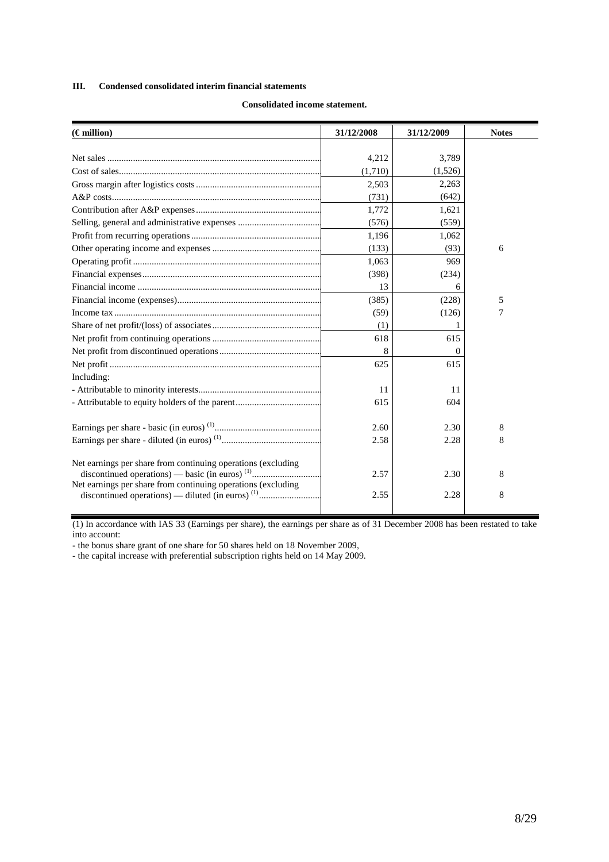# **III. Condensed consolidated interim financial statements**

| $(\epsilon$ million)                                         | 31/12/2008 | 31/12/2009 | <b>Notes</b> |
|--------------------------------------------------------------|------------|------------|--------------|
|                                                              |            |            |              |
|                                                              | 4,212      | 3,789      |              |
|                                                              | (1,710)    | (1,526)    |              |
|                                                              | 2,503      | 2,263      |              |
|                                                              | (731)      | (642)      |              |
|                                                              | 1,772      | 1,621      |              |
|                                                              | (576)      | (559)      |              |
|                                                              | 1,196      | 1,062      |              |
|                                                              | (133)      | (93)       | 6            |
|                                                              | 1,063      | 969        |              |
|                                                              | (398)      | (234)      |              |
|                                                              | 13         | 6          |              |
|                                                              | (385)      | (228)      | 5            |
|                                                              | (59)       | (126)      | 7            |
|                                                              | (1)        |            |              |
|                                                              | 618        | 615        |              |
|                                                              | 8          | $\theta$   |              |
|                                                              | 625        | 615        |              |
| Including:                                                   |            |            |              |
|                                                              | 11         | 11         |              |
| - Attributable to equity holders of the parent               | 615        | 604        |              |
|                                                              | 2.60       | 2.30       | 8            |
|                                                              | 2.58       | 2.28       | 8            |
|                                                              |            |            |              |
| Net earnings per share from continuing operations (excluding | 2.57       | 2.30       | 8            |
| Net earnings per share from continuing operations (excluding | 2.55       | 2.28       | 8            |

# **Consolidated income statement.**

(1) In accordance with IAS 33 (Earnings per share), the earnings per share as of 31 December 2008 has been restated to take into account:

- the bonus share grant of one share for 50 shares held on 18 November 2009,

- the capital increase with preferential subscription rights held on 14 May 2009.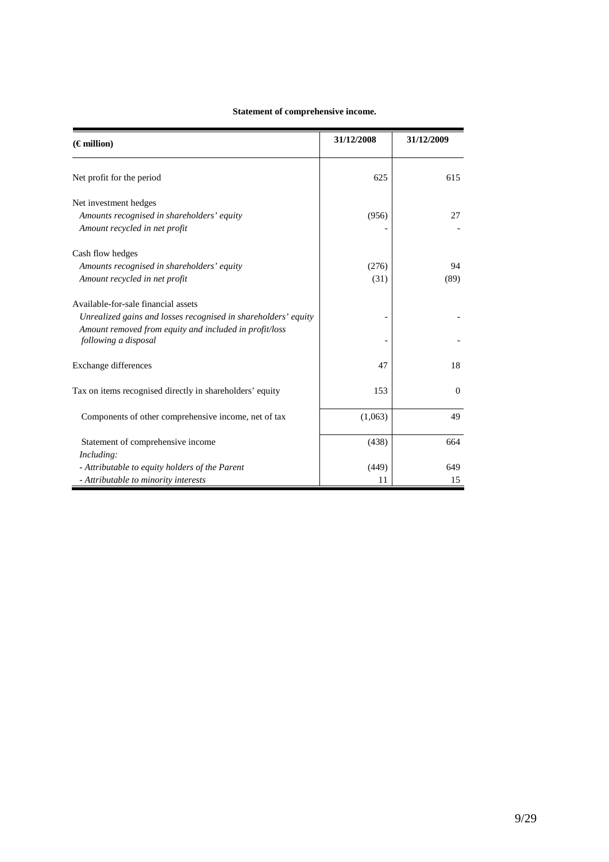| Statement of comprehensive income. |  |
|------------------------------------|--|
|------------------------------------|--|

| $(\epsilon$ million)                                                           | 31/12/2008 | 31/12/2009 |
|--------------------------------------------------------------------------------|------------|------------|
| Net profit for the period                                                      | 625        | 615        |
| Net investment hedges                                                          |            |            |
| Amounts recognised in shareholders' equity                                     | (956)      | 27         |
| Amount recycled in net profit                                                  |            |            |
| Cash flow hedges                                                               |            |            |
| Amounts recognised in shareholders' equity                                     | (276)      | 94         |
| Amount recycled in net profit                                                  | (31)       | (89)       |
| Available-for-sale financial assets                                            |            |            |
| Unrealized gains and losses recognised in shareholders' equity                 |            |            |
| Amount removed from equity and included in profit/loss<br>following a disposal |            |            |
| Exchange differences                                                           | 47         | 18         |
| Tax on items recognised directly in shareholders' equity                       | 153        | $\Omega$   |
| Components of other comprehensive income, net of tax                           | (1,063)    | 49         |
| Statement of comprehensive income                                              | (438)      | 664        |
| Including:                                                                     |            |            |
| - Attributable to equity holders of the Parent                                 | (449)      | 649        |
| - Attributable to minority interests                                           | 11         | 15         |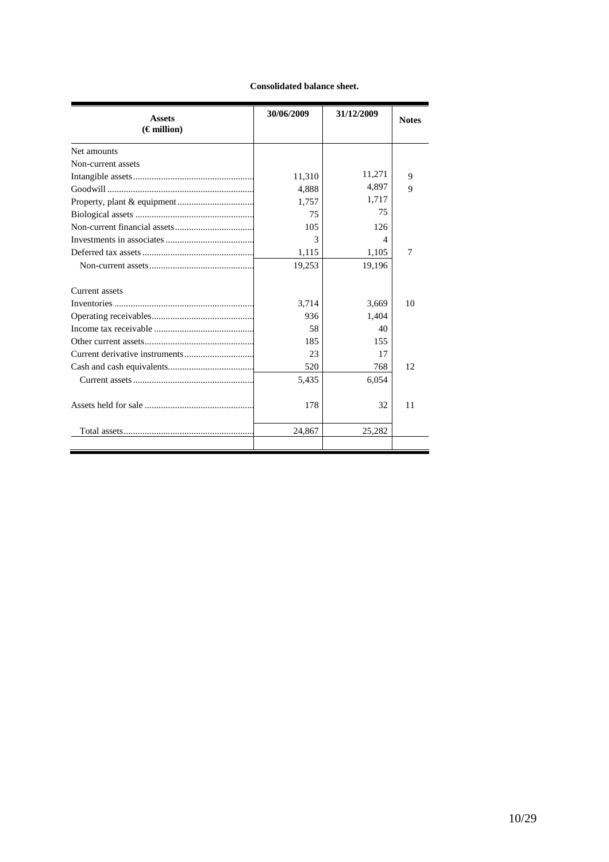# **Consolidated balance sheet.**

| <b>Assets</b>        | 30/06/2009 | 31/12/2009 | <b>Notes</b> |
|----------------------|------------|------------|--------------|
| $(\epsilon$ million) |            |            |              |
| Net amounts          |            |            |              |
| Non-current assets   |            |            |              |
|                      | 11,310     | 11,271     | 9            |
|                      | 4,888      | 4,897      | 9            |
|                      | 1,757      | 1,717      |              |
|                      | 75         | 75         |              |
|                      | 105        | 126        |              |
|                      | 3          | 4          |              |
|                      | 1,115      | 1,105      | 7            |
|                      | 19,253     | 19,196     |              |
| Current assets       |            |            |              |
|                      | 3,714      | 3,669      | 10           |
|                      | 936        | 1,404      |              |
|                      | 58         | 40         |              |
|                      | 185        | 155        |              |
|                      | 23         | 17         |              |
|                      | 520        | 768        | 12           |
|                      | 5,435      | 6,054      |              |
|                      | 178        | 32         | 11           |
|                      | 24,867     | 25,282     |              |
|                      |            |            |              |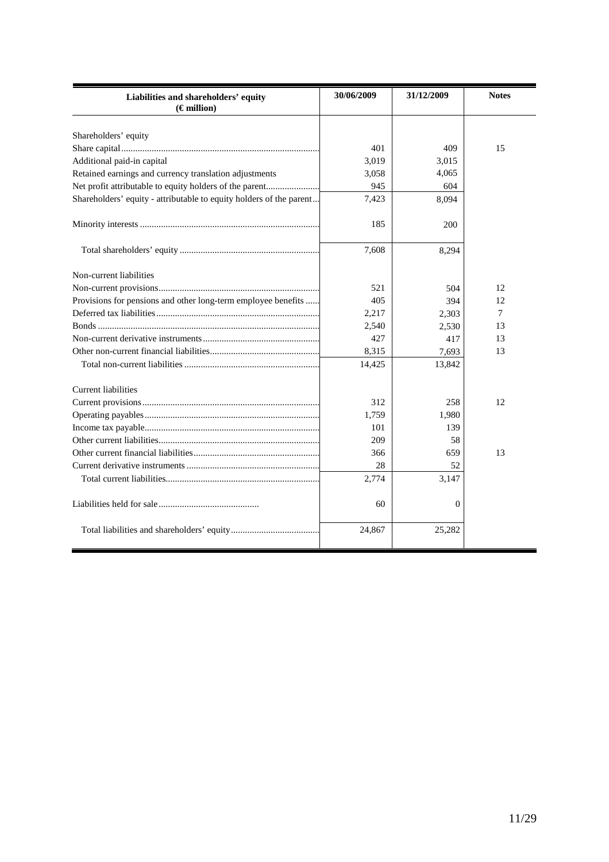| Liabilities and shareholders' equity                                | 30/06/2009 | 31/12/2009 | <b>Notes</b> |
|---------------------------------------------------------------------|------------|------------|--------------|
| $(\epsilon$ million)                                                |            |            |              |
|                                                                     |            |            |              |
| Shareholders' equity                                                | 401        | 409        | 15           |
|                                                                     | 3,019      |            |              |
| Additional paid-in capital                                          |            | 3,015      |              |
| Retained earnings and currency translation adjustments              | 3,058      | 4,065      |              |
| Net profit attributable to equity holders of the parent             | 945        | 604        |              |
| Shareholders' equity - attributable to equity holders of the parent | 7,423      | 8,094      |              |
|                                                                     | 185        | 200        |              |
|                                                                     | 7,608      | 8,294      |              |
| Non-current liabilities                                             |            |            |              |
|                                                                     | 521        | 504        | 12           |
| Provisions for pensions and other long-term employee benefits       | 405        | 394        | 12           |
|                                                                     | 2,217      | 2,303      | 7            |
|                                                                     | 2,540      | 2,530      | 13           |
|                                                                     | 427        | 417        | 13           |
|                                                                     | 8,315      | 7,693      | 13           |
|                                                                     | 14,425     | 13,842     |              |
| <b>Current liabilities</b>                                          |            |            |              |
|                                                                     | 312        | 258        | 12           |
|                                                                     | 1,759      | 1,980      |              |
|                                                                     | 101        | 139        |              |
|                                                                     | 209        | 58         |              |
|                                                                     | 366        | 659        | 13           |
|                                                                     | 28         | 52         |              |
|                                                                     | 2,774      | 3,147      |              |
|                                                                     | 60         | $\Omega$   |              |
|                                                                     | 24,867     | 25,282     |              |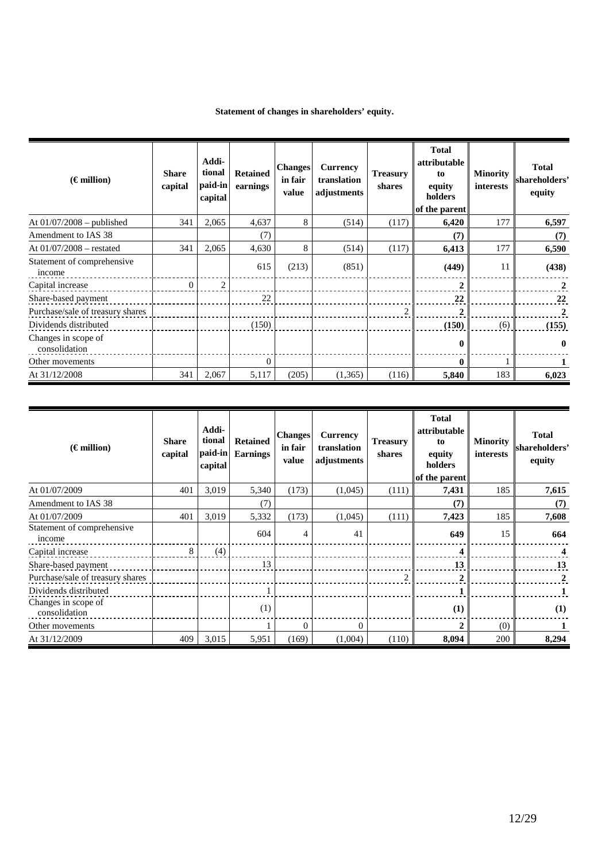| $(\epsilon$ million)                 | <b>Share</b><br>capital | Addi-<br>tional<br>paid-in<br>capital | <b>Retained</b><br>earnings | <b>Changes</b><br>in fair<br>value | Currency<br>translation<br>adjustments | <b>Treasury</b><br>shares | <b>Total</b><br>attributable<br>to<br>equity<br>holders<br>of the parent | <b>Minority</b><br><b>interests</b> | <b>Total</b><br>shareholders'<br>equity |
|--------------------------------------|-------------------------|---------------------------------------|-----------------------------|------------------------------------|----------------------------------------|---------------------------|--------------------------------------------------------------------------|-------------------------------------|-----------------------------------------|
| At $01/07/2008$ – published          | 341                     | 2,065                                 | 4,637                       | 8                                  | (514)                                  | (117)                     | 6,420                                                                    | 177                                 | 6,597                                   |
| Amendment to IAS 38                  |                         |                                       | (7)                         |                                    |                                        |                           | (7)                                                                      |                                     | (7)                                     |
| At $01/07/2008$ – restated           | 341                     | 2,065                                 | 4,630                       | 8                                  | (514)                                  | (117)                     | 6,413                                                                    | 177                                 | 6,590                                   |
| Statement of comprehensive<br>income |                         |                                       | 615                         | (213)                              | (851)                                  |                           | (449)                                                                    | 11                                  | (438)                                   |
| Capital increase                     | $\theta$                | $\overline{c}$                        |                             |                                    |                                        |                           | $\mathbf{2}$                                                             |                                     | $\mathbf{2}$                            |
| Share-based payment                  |                         |                                       | 22                          |                                    |                                        |                           | 22                                                                       |                                     | 22                                      |
| Purchase/sale of treasury shares     |                         |                                       |                             |                                    |                                        | $\overline{2}$            | $\mathbf{2}$                                                             |                                     | 2                                       |
| Dividends distributed                |                         |                                       | (150)                       |                                    |                                        |                           | (150)                                                                    | (6)                                 | (155)                                   |
| Changes in scope of<br>consolidation |                         |                                       |                             |                                    |                                        |                           |                                                                          |                                     | 0                                       |
| Other movements                      |                         |                                       | $\Omega$                    |                                    |                                        |                           |                                                                          |                                     |                                         |
| At 31/12/2008                        | 341                     | 2,067                                 | 5,117                       | (205)                              | (1,365)                                | (116)                     | 5,840                                                                    | 183                                 | 6,023                                   |

|  | Statement of changes in shareholders' equity. |  |
|--|-----------------------------------------------|--|
|--|-----------------------------------------------|--|

| $(\epsilon$ million)                 | <b>Share</b><br>capital | Addi-<br>tional<br>paid-in<br>capital | <b>Retained</b><br><b>Earnings</b> | <b>Changes</b><br>in fair<br>value | Currency<br>translation<br>adjustments | <b>Treasury</b><br>shares | <b>Total</b><br>attributable<br>to<br>equity<br>holders<br>of the parent | <b>Minority</b><br>interests | <b>Total</b><br>shareholders'<br>equity |
|--------------------------------------|-------------------------|---------------------------------------|------------------------------------|------------------------------------|----------------------------------------|---------------------------|--------------------------------------------------------------------------|------------------------------|-----------------------------------------|
| At 01/07/2009                        | 401                     | 3,019                                 | 5,340                              | (173)                              | (1,045)                                | (111)                     | 7,431                                                                    | 185                          | 7,615                                   |
| Amendment to IAS 38                  |                         |                                       | (7)                                |                                    |                                        |                           | (7)                                                                      |                              | (7)                                     |
| At 01/07/2009                        | 401                     | 3,019                                 | 5,332                              | (173)                              | (1,045)                                | (111)                     | 7,423                                                                    | 185                          | 7,608                                   |
| Statement of comprehensive<br>income |                         |                                       | 604                                | $\overline{4}$                     | 41                                     |                           | 649                                                                      | 15                           | 664                                     |
| Capital increase                     | 8                       | (4)                                   |                                    |                                    |                                        |                           |                                                                          |                              |                                         |
| Share-based payment                  |                         |                                       | 13                                 |                                    |                                        |                           | 13                                                                       |                              | 13                                      |
| Purchase/sale of treasury shares     |                         |                                       |                                    |                                    |                                        | $\overline{2}$            | $\overline{2}$                                                           |                              | $\mathbf{2}$                            |
| Dividends distributed                |                         |                                       |                                    |                                    |                                        |                           |                                                                          |                              |                                         |
| Changes in scope of<br>consolidation |                         |                                       | (1)                                |                                    |                                        |                           | (1)                                                                      |                              | (1)                                     |
| Other movements                      |                         |                                       |                                    | $\overline{0}$                     | $\Omega$                               |                           |                                                                          | (0)                          |                                         |
| At 31/12/2009                        | 409                     | 3,015                                 | 5,951                              | (169)                              | (1,004)                                | (110)                     | 8,094                                                                    | 200                          | 8,294                                   |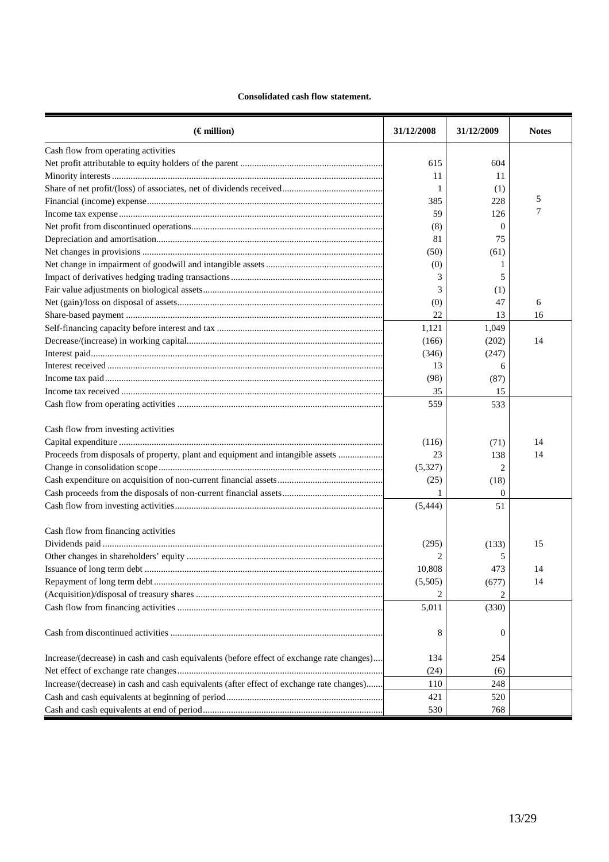# **Consolidated cash flow statement.**

| $(\epsilon$ million)                                                                      | 31/12/2008     | 31/12/2009   | <b>Notes</b> |
|-------------------------------------------------------------------------------------------|----------------|--------------|--------------|
| Cash flow from operating activities                                                       |                |              |              |
|                                                                                           | 615            | 604          |              |
|                                                                                           | 11             | 11           |              |
|                                                                                           | 1              | (1)          |              |
|                                                                                           | 385            | 228          | 5            |
|                                                                                           | 59             | 126          | 7            |
|                                                                                           | (8)            | 0            |              |
|                                                                                           | 81             | 75           |              |
|                                                                                           | (50)           | (61)         |              |
|                                                                                           | (0)            |              |              |
|                                                                                           | 3              | 5            |              |
|                                                                                           | 3              | (1)          |              |
|                                                                                           | (0)            | 47           | 6            |
|                                                                                           | 22             | 13           | 16           |
|                                                                                           | 1,121          | 1,049        |              |
|                                                                                           | (166)          | (202)        | 14           |
|                                                                                           | (346)          | (247)        |              |
|                                                                                           | 13             | 6            |              |
|                                                                                           | (98)           | (87)         |              |
|                                                                                           | 35             | 15           |              |
|                                                                                           | 559            | 533          |              |
| Cash flow from investing activities                                                       |                |              |              |
|                                                                                           | (116)          | (71)         | 14           |
| Proceeds from disposals of property, plant and equipment and intangible assets            | 23             | 138          | 14           |
|                                                                                           | (5,327)        | 2            |              |
|                                                                                           | (25)           | (18)         |              |
|                                                                                           | 1              | $\mathbf{0}$ |              |
|                                                                                           | (5, 444)       | 51           |              |
| Cash flow from financing activities                                                       |                |              |              |
|                                                                                           | (295)          | (133)        | 15           |
|                                                                                           | $\overline{c}$ | 5            |              |
|                                                                                           | 10,808         | 473          | 14           |
|                                                                                           | (5,505)        | (677)        | 14           |
|                                                                                           |                |              |              |
|                                                                                           | 5,011          | (330)        |              |
|                                                                                           | 8              | 0            |              |
| Increase/(decrease) in cash and cash equivalents (before effect of exchange rate changes) | 134            | 254          |              |
|                                                                                           | (24)           | (6)          |              |
| Increase/(decrease) in cash and cash equivalents (after effect of exchange rate changes)  | 110            | 248          |              |
|                                                                                           | 421            | 520          |              |
|                                                                                           | 530            | 768          |              |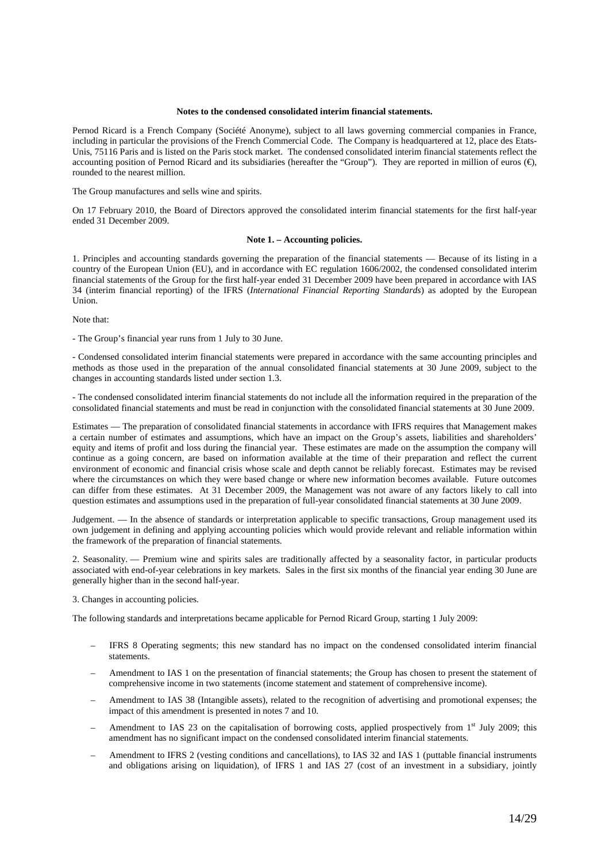### **Notes to the condensed consolidated interim financial statements.**

Pernod Ricard is a French Company (Société Anonyme), subject to all laws governing commercial companies in France, including in particular the provisions of the French Commercial Code. The Company is headquartered at 12, place des Etats-Unis, 75116 Paris and is listed on the Paris stock market. The condensed consolidated interim financial statements reflect the accounting position of Pernod Ricard and its subsidiaries (hereafter the "Group"). They are reported in million of euros  $(\epsilon)$ , rounded to the nearest million.

The Group manufactures and sells wine and spirits.

On 17 February 2010, the Board of Directors approved the consolidated interim financial statements for the first half-year ended 31 December 2009.

### **Note 1. – Accounting policies.**

1. Principles and accounting standards governing the preparation of the financial statements — Because of its listing in a country of the European Union (EU), and in accordance with EC regulation 1606/2002, the condensed consolidated interim financial statements of the Group for the first half-year ended 31 December 2009 have been prepared in accordance with IAS 34 (interim financial reporting) of the IFRS (*International Financial Reporting Standards*) as adopted by the European Union.

Note that:

- The Group's financial year runs from 1 July to 30 June.

- Condensed consolidated interim financial statements were prepared in accordance with the same accounting principles and methods as those used in the preparation of the annual consolidated financial statements at 30 June 2009, subject to the changes in accounting standards listed under section 1.3.

- The condensed consolidated interim financial statements do not include all the information required in the preparation of the consolidated financial statements and must be read in conjunction with the consolidated financial statements at 30 June 2009.

Estimates — The preparation of consolidated financial statements in accordance with IFRS requires that Management makes a certain number of estimates and assumptions, which have an impact on the Group's assets, liabilities and shareholders' equity and items of profit and loss during the financial year. These estimates are made on the assumption the company will continue as a going concern, are based on information available at the time of their preparation and reflect the current environment of economic and financial crisis whose scale and depth cannot be reliably forecast. Estimates may be revised where the circumstances on which they were based change or where new information becomes available. Future outcomes can differ from these estimates. At 31 December 2009, the Management was not aware of any factors likely to call into question estimates and assumptions used in the preparation of full-year consolidated financial statements at 30 June 2009.

Judgement. — In the absence of standards or interpretation applicable to specific transactions, Group management used its own judgement in defining and applying accounting policies which would provide relevant and reliable information within the framework of the preparation of financial statements.

2. Seasonality. — Premium wine and spirits sales are traditionally affected by a seasonality factor, in particular products associated with end-of-year celebrations in key markets. Sales in the first six months of the financial year ending 30 June are generally higher than in the second half-year.

3. Changes in accounting policies.

The following standards and interpretations became applicable for Pernod Ricard Group, starting 1 July 2009:

- IFRS 8 Operating segments; this new standard has no impact on the condensed consolidated interim financial statements.
- Amendment to IAS 1 on the presentation of financial statements; the Group has chosen to present the statement of comprehensive income in two statements (income statement and statement of comprehensive income).
- Amendment to IAS 38 (Intangible assets), related to the recognition of advertising and promotional expenses; the impact of this amendment is presented in notes 7 and 10.
- Amendment to IAS 23 on the capitalisation of borrowing costs, applied prospectively from  $1<sup>st</sup>$  July 2009; this amendment has no significant impact on the condensed consolidated interim financial statements.
- Amendment to IFRS 2 (vesting conditions and cancellations), to IAS 32 and IAS 1 (puttable financial instruments and obligations arising on liquidation), of IFRS 1 and IAS 27 (cost of an investment in a subsidiary, jointly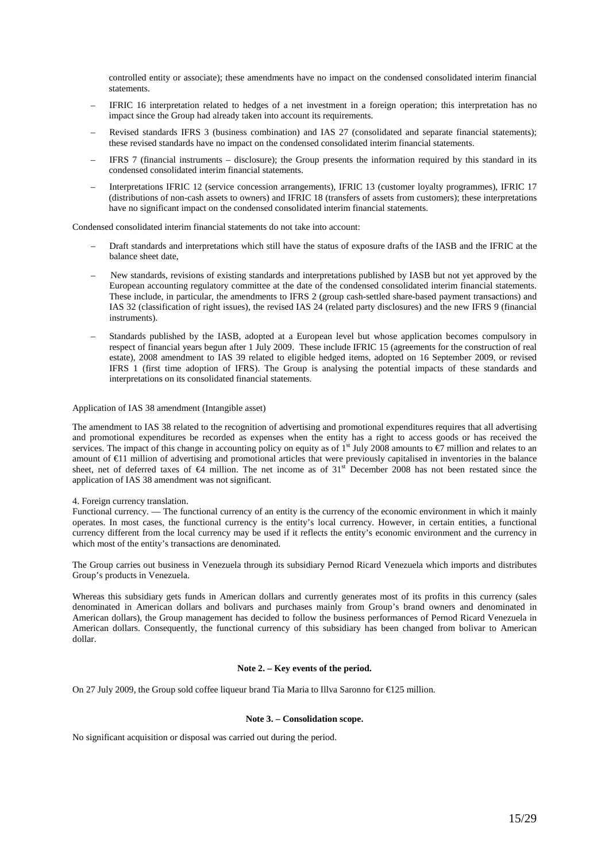controlled entity or associate); these amendments have no impact on the condensed consolidated interim financial statements.

- IFRIC 16 interpretation related to hedges of a net investment in a foreign operation; this interpretation has no impact since the Group had already taken into account its requirements.
- Revised standards IFRS 3 (business combination) and IAS 27 (consolidated and separate financial statements); these revised standards have no impact on the condensed consolidated interim financial statements.
- IFRS 7 (financial instruments disclosure); the Group presents the information required by this standard in its condensed consolidated interim financial statements.
- Interpretations IFRIC 12 (service concession arrangements), IFRIC 13 (customer loyalty programmes), IFRIC 17 (distributions of non-cash assets to owners) and IFRIC 18 (transfers of assets from customers); these interpretations have no significant impact on the condensed consolidated interim financial statements.

Condensed consolidated interim financial statements do not take into account:

- Draft standards and interpretations which still have the status of exposure drafts of the IASB and the IFRIC at the balance sheet date,
- New standards, revisions of existing standards and interpretations published by IASB but not yet approved by the European accounting regulatory committee at the date of the condensed consolidated interim financial statements. These include, in particular, the amendments to IFRS 2 (group cash-settled share-based payment transactions) and IAS 32 (classification of right issues), the revised IAS 24 (related party disclosures) and the new IFRS 9 (financial instruments).
- Standards published by the IASB, adopted at a European level but whose application becomes compulsory in respect of financial years begun after 1 July 2009. These include IFRIC 15 (agreements for the construction of real estate), 2008 amendment to IAS 39 related to eligible hedged items, adopted on 16 September 2009, or revised IFRS 1 (first time adoption of IFRS). The Group is analysing the potential impacts of these standards and interpretations on its consolidated financial statements.

### Application of IAS 38 amendment (Intangible asset)

The amendment to IAS 38 related to the recognition of advertising and promotional expenditures requires that all advertising and promotional expenditures be recorded as expenses when the entity has a right to access goods or has received the services. The impact of this change in accounting policy on equity as of  $1<sup>st</sup>$  July 2008 amounts to  $\epsilon$ 7 million and relates to an amount of €11 million of advertising and promotional articles that were previously capitalised in inventories in the balance sheet, net of deferred taxes of €4 million. The net income as of 31<sup>st</sup> December 2008 has not been restated since the application of IAS 38 amendment was not significant.

#### 4. Foreign currency translation.

Functional currency. — The functional currency of an entity is the currency of the economic environment in which it mainly operates. In most cases, the functional currency is the entity's local currency. However, in certain entities, a functional currency different from the local currency may be used if it reflects the entity's economic environment and the currency in which most of the entity's transactions are denominated.

The Group carries out business in Venezuela through its subsidiary Pernod Ricard Venezuela which imports and distributes Group's products in Venezuela.

Whereas this subsidiary gets funds in American dollars and currently generates most of its profits in this currency (sales denominated in American dollars and bolivars and purchases mainly from Group's brand owners and denominated in American dollars), the Group management has decided to follow the business performances of Pernod Ricard Venezuela in American dollars. Consequently, the functional currency of this subsidiary has been changed from bolivar to American dollar.

# **Note 2. – Key events of the period.**

On 27 July 2009, the Group sold coffee liqueur brand Tia Maria to Illva Saronno for €125 million.

#### **Note 3. – Consolidation scope.**

No significant acquisition or disposal was carried out during the period.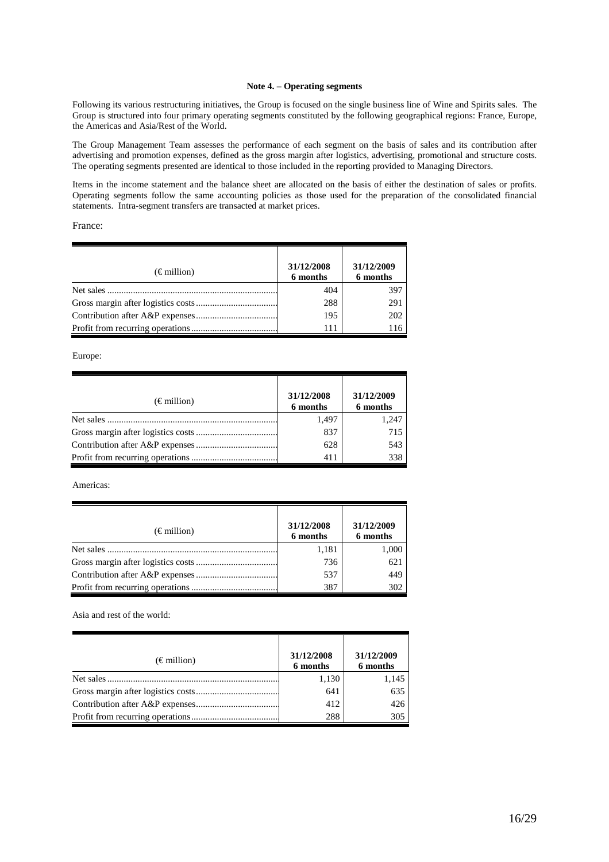### **Note 4. – Operating segments**

Following its various restructuring initiatives, the Group is focused on the single business line of Wine and Spirits sales. The Group is structured into four primary operating segments constituted by the following geographical regions: France, Europe, the Americas and Asia/Rest of the World.

The Group Management Team assesses the performance of each segment on the basis of sales and its contribution after advertising and promotion expenses, defined as the gross margin after logistics, advertising, promotional and structure costs. The operating segments presented are identical to those included in the reporting provided to Managing Directors.

Items in the income statement and the balance sheet are allocated on the basis of either the destination of sales or profits. Operating segments follow the same accounting policies as those used for the preparation of the consolidated financial statements. Intra-segment transfers are transacted at market prices.

France:

| $(\epsilon \text{ million})$ | 31/12/2008<br>6 months | 31/12/2009<br>6 months |
|------------------------------|------------------------|------------------------|
|                              | 404                    | 397                    |
|                              | 288                    | 291                    |
|                              | 195                    | 202                    |
|                              | 111                    | 116                    |

Europe:

| $(\epsilon \text{ million})$ | 31/12/2008<br>6 months | 31/12/2009<br>6 months |
|------------------------------|------------------------|------------------------|
|                              | 1,497                  | 1,247                  |
|                              | 837                    | 715                    |
|                              | 628                    | 543                    |
|                              | 411                    | 338                    |

Americas:

| $(\epsilon \text{ million})$ | 31/12/2008<br>6 months | 31/12/2009<br>6 months |
|------------------------------|------------------------|------------------------|
|                              | 1,181                  | 1,000                  |
|                              | 736                    | 621                    |
|                              | 537                    | 449                    |
|                              | 387                    | 302                    |

Asia and rest of the world:

| $(\epsilon \text{ million})$ | 31/12/2008<br>6 months | 31/12/2009<br>6 months |
|------------------------------|------------------------|------------------------|
|                              | 1,130                  | 1,145                  |
|                              | 641                    | 635                    |
|                              | 412                    | 426                    |
|                              | 288                    | 305                    |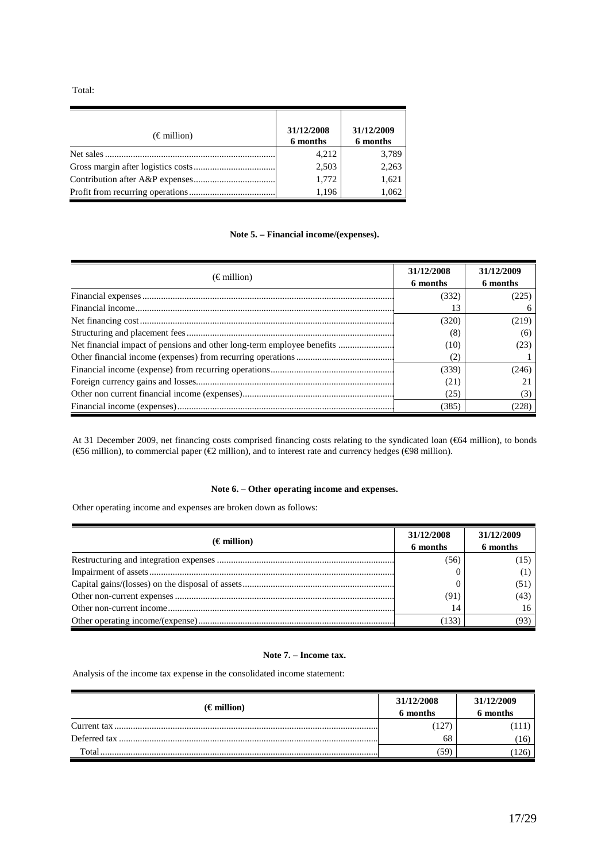Total:

| $(\epsilon \text{ million})$ | 31/12/2008<br>6 months | 31/12/2009<br>6 months |
|------------------------------|------------------------|------------------------|
| Net sales                    | 4,212                  | 3,789                  |
|                              | 2,503                  | 2,263                  |
|                              | 1,772                  | 1,621                  |
|                              | 1.196                  | 1,062                  |

# **Note 5. – Financial income/(expenses).**

| $(\epsilon \text{ million})$                                           | 31/12/2008<br>6 months | 31/12/2009<br>6 months |
|------------------------------------------------------------------------|------------------------|------------------------|
|                                                                        | (332)                  | (225)                  |
|                                                                        | 13                     |                        |
|                                                                        | (320)                  | (219)                  |
|                                                                        | (8)                    | (6)                    |
| Net financial impact of pensions and other long-term employee benefits | (10)                   | (23)                   |
|                                                                        | (2)                    |                        |
|                                                                        | (339)                  | (246)                  |
|                                                                        | (21)                   |                        |
|                                                                        | (25)                   |                        |
|                                                                        | (385)                  | (228)                  |

At 31 December 2009, net financing costs comprised financing costs relating to the syndicated loan (€64 million), to bonds (€56 million), to commercial paper (€2 million), and to interest rate and currency hedges (€98 million).

# **Note 6. – Other operating income and expenses.**

Other operating income and expenses are broken down as follows:

|                      | 31/12/2008 | 31/12/2009 |
|----------------------|------------|------------|
| $(\epsilon$ million) | 6 months   | 6 months   |
|                      | (56)       |            |
|                      |            |            |
|                      |            | (51)       |
|                      | (91)       | (43)       |
|                      | 14         |            |
|                      | (133)      | (93)       |

# **Note 7. – Income tax.**

Analysis of the income tax expense in the consolidated income statement:

| $(\epsilon$ million) | 31/12/2008<br>6 months | 31/12/2009<br>6 months |
|----------------------|------------------------|------------------------|
|                      | 127                    | 111)                   |
|                      | 68                     | (16)                   |
| Total                | 59                     | 126)                   |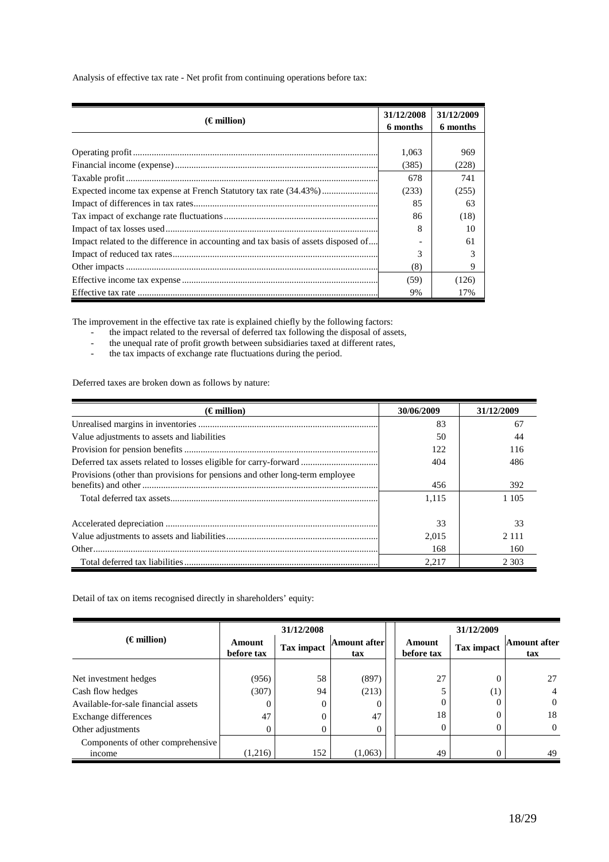Analysis of effective tax rate - Net profit from continuing operations before tax:

| $(\epsilon$ million)                                                               | 31/12/2008<br>6 months | 31/12/2009<br>6 months |
|------------------------------------------------------------------------------------|------------------------|------------------------|
|                                                                                    |                        |                        |
|                                                                                    | 1,063                  | 969                    |
|                                                                                    | (385)                  | (228)                  |
|                                                                                    | 678                    | 741                    |
|                                                                                    | (233)                  | (255)                  |
|                                                                                    | 85                     | 63                     |
|                                                                                    | 86                     | (18)                   |
|                                                                                    | 8                      | 10                     |
| Impact related to the difference in accounting and tax basis of assets disposed of |                        | 61                     |
|                                                                                    | 3                      |                        |
|                                                                                    | (8)                    | 9                      |
|                                                                                    | (59)                   | (126)                  |
|                                                                                    | 9%                     | 17%                    |

The improvement in the effective tax rate is explained chiefly by the following factors:

- the impact related to the reversal of deferred tax following the disposal of assets,
- the unequal rate of profit growth between subsidiaries taxed at different rates,<br>the tax impacts of exchange rate fluctuations during the period.
- the tax impacts of exchange rate fluctuations during the period.

Deferred taxes are broken down as follows by nature:

| $(\epsilon$ million)                                                        | 30/06/2009 | 31/12/2009 |
|-----------------------------------------------------------------------------|------------|------------|
|                                                                             | 83         | 67         |
| Value adjustments to assets and liabilities                                 | 50         | 44         |
|                                                                             | 122        | 116        |
| Deferred tax assets related to losses eligible for carry-forward            | 404        | 486        |
| Provisions (other than provisions for pensions and other long-term employee |            |            |
|                                                                             | 456        | 392        |
|                                                                             | 1.115      | 1 1 0 5    |
|                                                                             |            |            |
|                                                                             | 33         | 33         |
|                                                                             | 2.015      | 2.111      |
|                                                                             | 168        | 160        |
|                                                                             | 2.217      | 2 3 0 3    |

Detail of tax on items recognised directly in shareholders' equity:

|                                     | 31/12/2008           |            |                            |  | 31/12/2009           |            |                            |
|-------------------------------------|----------------------|------------|----------------------------|--|----------------------|------------|----------------------------|
| $(\epsilon$ million)                | Amount<br>before tax | Tax impact | <b>Amount after</b><br>tax |  | Amount<br>before tax | Tax impact | <b>Amount after</b><br>tax |
|                                     |                      |            |                            |  |                      |            |                            |
| Net investment hedges               | (956)                | 58         | (897)                      |  | 27                   | $\theta$   | 27                         |
| Cash flow hedges                    | (307)                | 94         | (213)                      |  |                      | (1)        | 4                          |
| Available-for-sale financial assets | 0                    | 0          |                            |  |                      | 0          | $\Omega$                   |
| Exchange differences                | 47                   | $\Omega$   | 47                         |  | 18                   | 0          | 18                         |
| Other adjustments                   | 0                    | $\Omega$   |                            |  |                      |            | $\Omega$                   |
| Components of other comprehensive   |                      |            |                            |  |                      |            |                            |
| income                              | (1,216)              | 152        | (1,063)                    |  | 49                   |            | 49                         |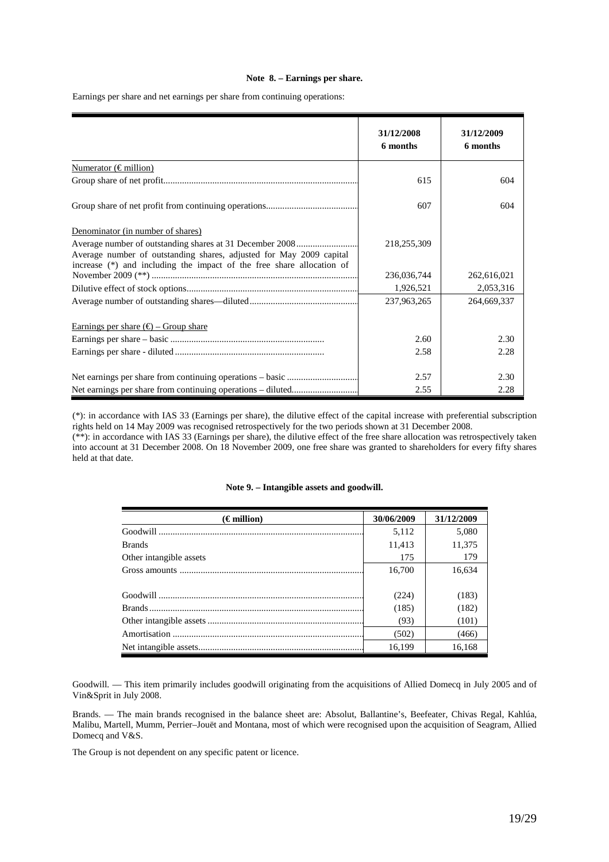# **Note 8. – Earnings per share.**

Earnings per share and net earnings per share from continuing operations:

|                                                                                                                                              | 31/12/2008<br>6 months | 31/12/2009<br>6 months |
|----------------------------------------------------------------------------------------------------------------------------------------------|------------------------|------------------------|
| Numerator ( $\in$ million)                                                                                                                   |                        |                        |
|                                                                                                                                              | 615                    | 604                    |
|                                                                                                                                              | 607                    | 604                    |
| Denominator (in number of shares)                                                                                                            |                        |                        |
| Average number of outstanding shares, adjusted for May 2009 capital<br>increase (*) and including the impact of the free share allocation of | 218,255,309            |                        |
|                                                                                                                                              | 236,036,744            | 262,616,021            |
|                                                                                                                                              | 1,926,521              | 2,053,316              |
|                                                                                                                                              | 237,963,265            | 264,669,337            |
| Earnings per share $(\epsilon)$ – Group share                                                                                                |                        |                        |
|                                                                                                                                              | 2.60                   | 2.30                   |
|                                                                                                                                              | 2.58                   | 2.28                   |
|                                                                                                                                              | 2.57                   | 2.30                   |
|                                                                                                                                              | 2.55                   | 2.28                   |

(\*): in accordance with IAS 33 (Earnings per share), the dilutive effect of the capital increase with preferential subscription rights held on 14 May 2009 was recognised retrospectively for the two periods shown at 31 December 2008. (\*\*): in accordance with IAS 33 (Earnings per share), the dilutive effect of the free share allocation was retrospectively taken

into account at 31 December 2008. On 18 November 2009, one free share was granted to shareholders for every fifty shares held at that date.

|  | Note 9. – Intangible assets and goodwill. |  |  |
|--|-------------------------------------------|--|--|
|--|-------------------------------------------|--|--|

| $(\epsilon$ million)    | 30/06/2009 | 31/12/2009 |
|-------------------------|------------|------------|
|                         | 5,112      | 5,080      |
| <b>Brands</b>           | 11,413     | 11,375     |
| Other intangible assets | 175        | 179        |
|                         | 16.700     | 16.634     |
|                         |            |            |
|                         | (224)      | (183)      |
|                         | (185)      | (182)      |
|                         | (93)       | (101)      |
|                         | (502)      | (466)      |
|                         | 16,199     | 16,168     |

Goodwill*.* — This item primarily includes goodwill originating from the acquisitions of Allied Domecq in July 2005 and of Vin&Sprit in July 2008.

Brands. — The main brands recognised in the balance sheet are: Absolut, Ballantine's, Beefeater, Chivas Regal, Kahlúa, Malibu, Martell, Mumm, Perrier–Jouët and Montana, most of which were recognised upon the acquisition of Seagram, Allied Domecq and V&S.

The Group is not dependent on any specific patent or licence.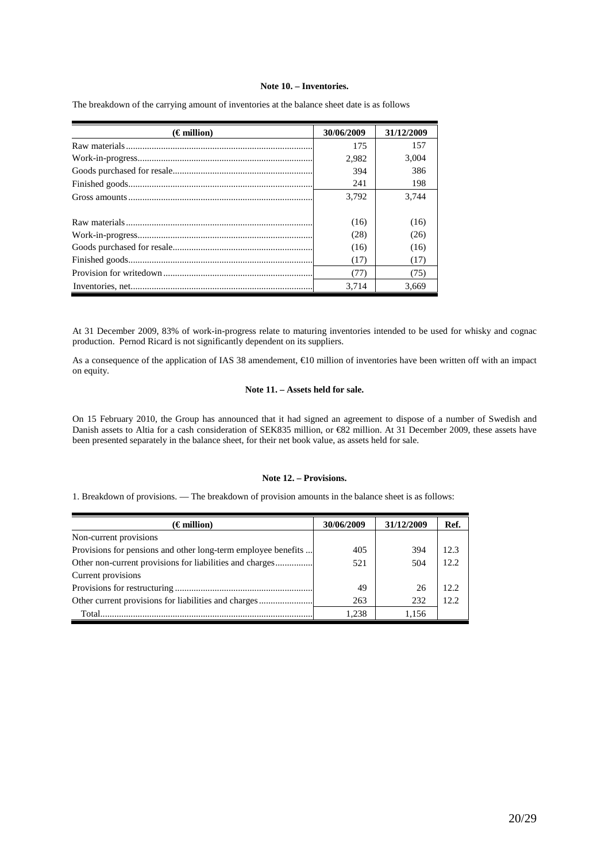### **Note 10. – Inventories.**

| $(\epsilon$ million) | 30/06/2009 | 31/12/2009 |
|----------------------|------------|------------|
|                      | 175        | 157        |
|                      | 2,982      | 3.004      |
|                      | 394        | 386        |
|                      | 241        | 198        |
|                      | 3,792      | 3.744      |
|                      |            |            |
|                      | (16)       | (16)       |
|                      | (28)       | (26)       |
|                      | (16)       | (16)       |
|                      | (17)       | (17)       |
|                      | (77)       | (75)       |
|                      | 3.714      | 3.669      |

The breakdown of the carrying amount of inventories at the balance sheet date is as follows

At 31 December 2009, 83% of work-in-progress relate to maturing inventories intended to be used for whisky and cognac production. Pernod Ricard is not significantly dependent on its suppliers.

As a consequence of the application of IAS 38 amendement, €10 million of inventories have been written off with an impact on equity.

### **Note 11. – Assets held for sale.**

On 15 February 2010, the Group has announced that it had signed an agreement to dispose of a number of Swedish and Danish assets to Altia for a cash consideration of SEK835 million, or €82 million. At 31 December 2009, these assets have been presented separately in the balance sheet, for their net book value, as assets held for sale.

# **Note 12. – Provisions.**

1. Breakdown of provisions. — The breakdown of provision amounts in the balance sheet is as follows:

| $(\epsilon$ million)                                          | 30/06/2009 | 31/12/2009 | Ref.  |
|---------------------------------------------------------------|------------|------------|-------|
| Non-current provisions                                        |            |            |       |
| Provisions for pensions and other long-term employee benefits | 405        | 394        | 12.3  |
| Other non-current provisions for liabilities and charges      | 521        | 504        | 12.2  |
| Current provisions                                            |            |            |       |
|                                                               | 49         | 26         | 12.2  |
| Other current provisions for liabilities and charges          | 263        | 232        | 12.2. |
| Total                                                         | 1,238      | 1.156      |       |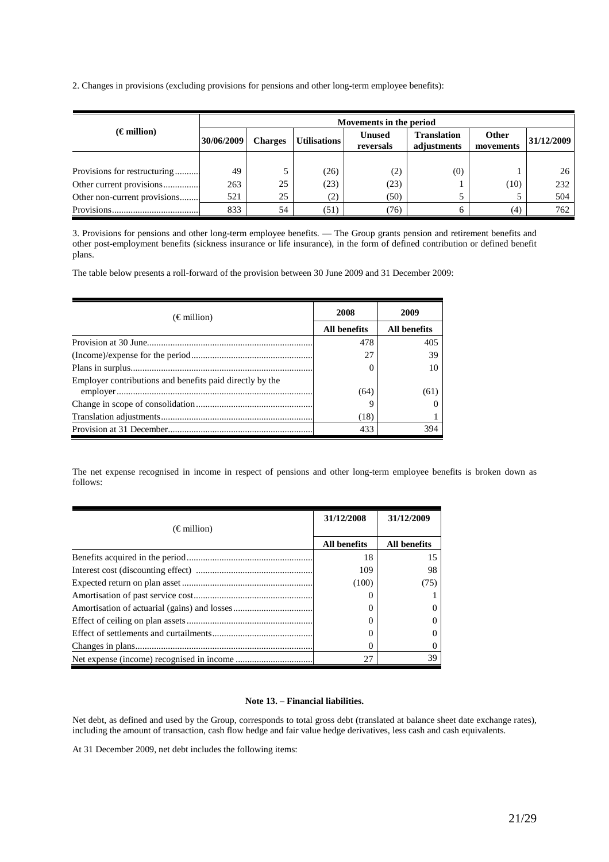2. Changes in provisions (excluding provisions for pensions and other long-term employee benefits):

|                              |            | Movements in the period |                     |                            |                                   |                           |            |  |
|------------------------------|------------|-------------------------|---------------------|----------------------------|-----------------------------------|---------------------------|------------|--|
| $(\epsilon$ million)         | 30/06/2009 | <b>Charges</b>          | <b>Utilisations</b> | <b>Unused</b><br>reversals | <b>Translation</b><br>adjustments | <b>Other</b><br>movements | 31/12/2009 |  |
|                              |            |                         |                     |                            |                                   |                           |            |  |
| Provisions for restructuring | 49         |                         | (26)                | (2)                        | (0)                               |                           | 26         |  |
| Other current provisions     | 263        | 25                      | (23)                | (23)                       |                                   | (10)                      | 232        |  |
| Other non-current provisions | 521        | 25                      | (2)                 | (50)                       |                                   |                           | 504        |  |
|                              | 833        | 54                      | (51)                | (76)                       |                                   | (4)                       | 762        |  |

3. Provisions for pensions and other long-term employee benefits. — The Group grants pension and retirement benefits and other post-employment benefits (sickness insurance or life insurance), in the form of defined contribution or defined benefit plans.

The table below presents a roll-forward of the provision between 30 June 2009 and 31 December 2009:

| $(\epsilon \text{ million})$                             | 2008                | 2009         |  |
|----------------------------------------------------------|---------------------|--------------|--|
|                                                          | <b>All benefits</b> | All benefits |  |
|                                                          | 478                 | 405          |  |
|                                                          | 27                  | 39           |  |
|                                                          |                     | 10           |  |
| Employer contributions and benefits paid directly by the | (64)                | (61)         |  |
|                                                          | 9                   |              |  |
|                                                          | (18)                |              |  |
|                                                          | 433                 | 394          |  |

The net expense recognised in income in respect of pensions and other long-term employee benefits is broken down as follows:

|                              | 31/12/2008          | 31/12/2009          |
|------------------------------|---------------------|---------------------|
| $(\epsilon \text{ million})$ |                     |                     |
|                              | <b>All benefits</b> | <b>All benefits</b> |
|                              | 18                  | 15                  |
|                              | 109                 | 98                  |
|                              | (100)               | (75)                |
|                              |                     |                     |
|                              |                     |                     |
|                              |                     |                     |
|                              |                     |                     |
|                              |                     |                     |
|                              | 27                  | 39                  |

# **Note 13. – Financial liabilities.**

Net debt, as defined and used by the Group, corresponds to total gross debt (translated at balance sheet date exchange rates), including the amount of transaction, cash flow hedge and fair value hedge derivatives, less cash and cash equivalents.

At 31 December 2009, net debt includes the following items: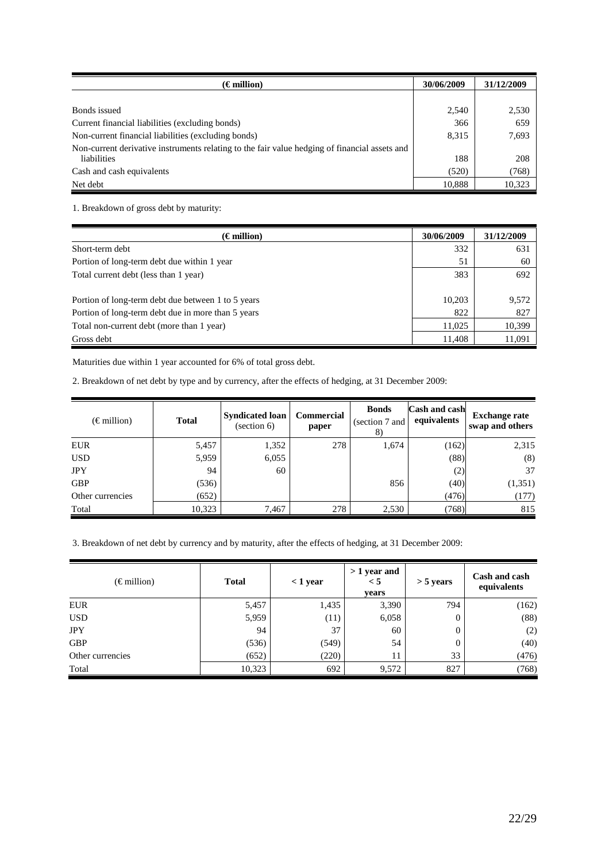| $\epsilon$ million)                                                                           | 30/06/2009 | 31/12/2009 |
|-----------------------------------------------------------------------------------------------|------------|------------|
|                                                                                               |            |            |
| Bonds issued                                                                                  | 2,540      | 2,530      |
| Current financial liabilities (excluding bonds)                                               | 366        | 659        |
| Non-current financial liabilities (excluding bonds)                                           | 8,315      | 7,693      |
| Non-current derivative instruments relating to the fair value hedging of financial assets and |            |            |
| liabilities                                                                                   | 188        | 208        |
| Cash and cash equivalents                                                                     | (520)      | (768)      |
| Net debt                                                                                      | 10,888     | 10,323     |

1. Breakdown of gross debt by maturity:

| $(\epsilon$ million)                                                                                     | 30/06/2009    | 31/12/2009   |
|----------------------------------------------------------------------------------------------------------|---------------|--------------|
| Short-term debt                                                                                          | 332           | 631          |
| Portion of long-term debt due within 1 year                                                              | 51            | 60           |
| Total current debt (less than 1 year)                                                                    | 383           | 692          |
| Portion of long-term debt due between 1 to 5 years<br>Portion of long-term debt due in more than 5 years | 10,203<br>822 | 9,572<br>827 |
| Total non-current debt (more than 1 year)                                                                | 11,025        | 10,399       |
| Gross debt                                                                                               | 11,408        | 11,091       |

Maturities due within 1 year accounted for 6% of total gross debt.

2. Breakdown of net debt by type and by currency, after the effects of hedging, at 31 December 2009:

| $(\epsilon \text{ million})$ | <b>Total</b> | <b>Syndicated loan</b><br>(section 6) | <b>Commercial</b><br>paper | <b>Bonds</b><br>(section 7 and<br>8) | Cash and cash<br>equivalents | <b>Exchange rate</b><br>swap and others |
|------------------------------|--------------|---------------------------------------|----------------------------|--------------------------------------|------------------------------|-----------------------------------------|
| <b>EUR</b>                   | 5,457        | 1,352                                 | 278                        | 1,674                                | (162)                        | 2,315                                   |
| <b>USD</b>                   | 5,959        | 6,055                                 |                            |                                      | (88)                         | (8)                                     |
| <b>JPY</b>                   | 94           | 60                                    |                            |                                      | (2)                          | 37                                      |
| <b>GBP</b>                   | (536)        |                                       |                            | 856                                  | (40)                         | (1, 351)                                |
| Other currencies             | (652)        |                                       |                            |                                      | (476)                        | (177)                                   |
| Total                        | 10,323       | 7,467                                 | 278                        | 2,530                                | (768)                        | 815                                     |

3. Breakdown of net debt by currency and by maturity, after the effects of hedging, at 31 December 2009:

| $(\epsilon \text{ million})$<br><b>Total</b> |        | $<$ 1 year | $>1$ year and<br>< 5<br>vears | $>$ 5 years | Cash and cash<br>equivalents |
|----------------------------------------------|--------|------------|-------------------------------|-------------|------------------------------|
| <b>EUR</b>                                   | 5,457  | 1,435      | 3,390                         | 794         | (162)                        |
| <b>USD</b>                                   | 5,959  | (11)       | 6,058                         | 0           | (88)                         |
| <b>JPY</b>                                   | 94     | 37         | 60                            | $\bf{0}$    | (2)                          |
| <b>GBP</b>                                   | (536)  | (549)      | 54                            | 0           | (40)                         |
| Other currencies                             | (652)  | (220)      | 11                            | 33          | (476)                        |
| Total                                        | 10,323 | 692        | 9,572                         | 827         | (768)                        |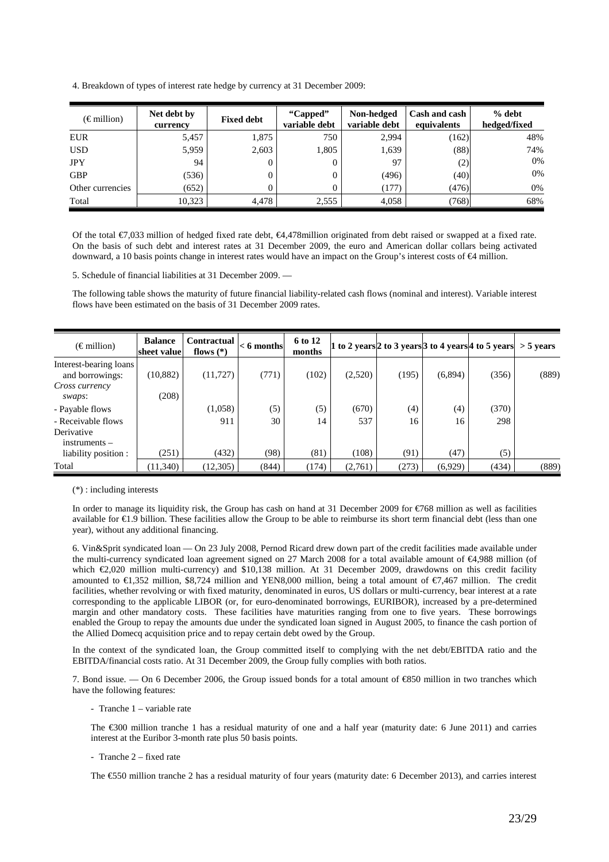4. Breakdown of types of interest rate hedge by currency at 31 December 2009:

| $(\epsilon \text{ million})$ | Net debt by<br>currency | <b>Fixed debt</b> | "Capped"<br>variable debt | Non-hedged<br>variable debt | Cash and cash<br>equivalents | % debt<br>hedged/fixed |
|------------------------------|-------------------------|-------------------|---------------------------|-----------------------------|------------------------------|------------------------|
| <b>EUR</b>                   | 5,457                   | 1,875             | 750                       | 2,994                       | (162)                        | 48%                    |
| <b>USD</b>                   | 5,959                   | 2,603             | 1,805                     | 1,639                       | (88)                         | 74%                    |
| <b>JPY</b>                   | 94                      |                   |                           | 97                          | (2)                          | 0%                     |
| <b>GBP</b>                   | (536)                   |                   |                           | (496)                       | (40)                         | 0%                     |
| Other currencies             | (652)                   |                   |                           | (177)                       | (476)                        | 0%                     |
| Total                        | 10,323                  | 4,478             | 2,555                     | 4,058                       | (768)                        | 68%                    |

Of the total €7,033 million of hedged fixed rate debt, €4,478million originated from debt raised or swapped at a fixed rate. On the basis of such debt and interest rates at 31 December 2009, the euro and American dollar collars being activated downward, a 10 basis points change in interest rates would have an impact on the Group's interest costs of €4 million.

5. Schedule of financial liabilities at 31 December 2009. —

The following table shows the maturity of future financial liability-related cash flows (nominal and interest). Variable interest flows have been estimated on the basis of 31 December 2009 rates.

| $(\epsilon \text{ million})$              | <b>Balance</b><br>sheet value | <b>Contractual</b><br>flows $(*)$ | $< 6$ months | 6 to 12<br>months |         |       |         | 1 to 2 years 2 to 3 years 3 to 4 years $ 4 \text{ to } 5 \text{ years}  > 5 \text{ years}$ |       |
|-------------------------------------------|-------------------------------|-----------------------------------|--------------|-------------------|---------|-------|---------|--------------------------------------------------------------------------------------------|-------|
| Interest-bearing loans<br>and borrowings: | (10, 882)                     | (11, 727)                         | (771)        | (102)             | (2,520) | (195) | (6,894) | (356)                                                                                      | (889) |
| Cross currency<br>swaps:                  | (208)                         |                                   |              |                   |         |       |         |                                                                                            |       |
| - Payable flows                           |                               | (1,058)                           | (5)          | (5)               | (670)   | (4)   | (4)     | (370)                                                                                      |       |
| - Receivable flows                        |                               | 911                               | 30           | 14                | 537     | 16    | 16      | 298                                                                                        |       |
| Derivative<br>$in$ struments $-$          |                               |                                   |              |                   |         |       |         |                                                                                            |       |
| liability position :                      | (251)                         | (432)                             | (98)         | (81)              | (108)   | (91)  | (47)    | (5)                                                                                        |       |
| Total                                     | (11,340)                      | (12, 305)                         | (844)        | (174)             | (2,761) | (273) | (6,929) | (434)                                                                                      | (889) |

(\*) : including interests

In order to manage its liquidity risk, the Group has cash on hand at 31 December 2009 for €768 million as well as facilities available for €1.9 billion. These facilities allow the Group to be able to reimburse its short term financial debt (less than one year), without any additional financing.

6. Vin&Sprit syndicated loan — On 23 July 2008, Pernod Ricard drew down part of the credit facilities made available under the multi-currency syndicated loan agreement signed on 27 March 2008 for a total available amount of €4,988 million (of which €2,020 million multi-currency) and \$10,138 million. At 31 December 2009, drawdowns on this credit facility amounted to €1,352 million, \$8,724 million and YEN8,000 million, being a total amount of €7,467 million. The credit facilities, whether revolving or with fixed maturity, denominated in euros, US dollars or multi-currency, bear interest at a rate corresponding to the applicable LIBOR (or, for euro-denominated borrowings, EURIBOR), increased by a pre-determined margin and other mandatory costs. These facilities have maturities ranging from one to five years. These borrowings enabled the Group to repay the amounts due under the syndicated loan signed in August 2005, to finance the cash portion of the Allied Domecq acquisition price and to repay certain debt owed by the Group.

In the context of the syndicated loan, the Group committed itself to complying with the net debt/EBITDA ratio and the EBITDA/financial costs ratio. At 31 December 2009, the Group fully complies with both ratios.

7. Bond issue. — On 6 December 2006, the Group issued bonds for a total amount of €850 million in two tranches which have the following features:

- Tranche 1 – variable rate

The €300 million tranche 1 has a residual maturity of one and a half year (maturity date: 6 June 2011) and carries interest at the Euribor 3-month rate plus 50 basis points.

- Tranche 2 – fixed rate

The €550 million tranche 2 has a residual maturity of four years (maturity date: 6 December 2013), and carries interest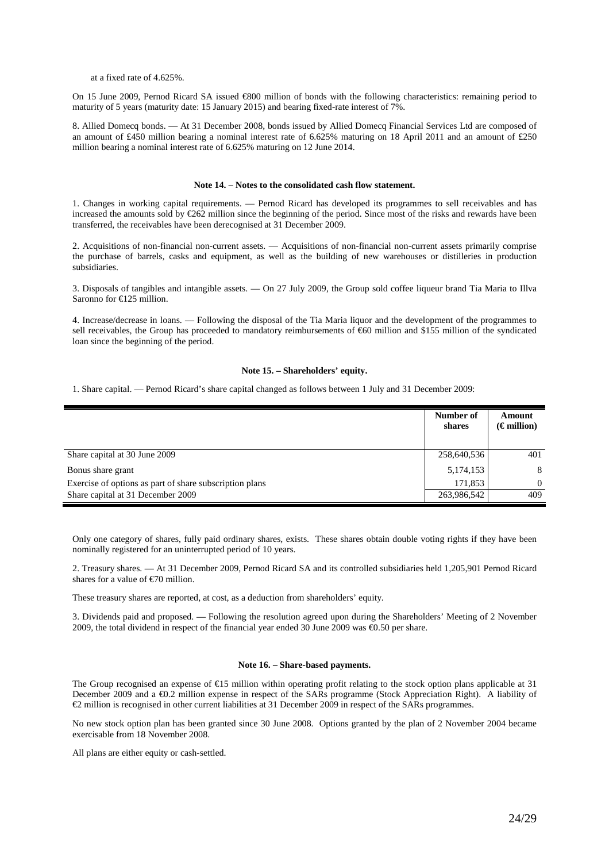at a fixed rate of 4.625%.

On 15 June 2009, Pernod Ricard SA issued €800 million of bonds with the following characteristics: remaining period to maturity of 5 years (maturity date: 15 January 2015) and bearing fixed-rate interest of 7%.

8. Allied Domecq bonds. — At 31 December 2008, bonds issued by Allied Domecq Financial Services Ltd are composed of an amount of £450 million bearing a nominal interest rate of 6.625% maturing on 18 April 2011 and an amount of £250 million bearing a nominal interest rate of 6.625% maturing on 12 June 2014.

### **Note 14. – Notes to the consolidated cash flow statement.**

1. Changes in working capital requirements. — Pernod Ricard has developed its programmes to sell receivables and has increased the amounts sold by €262 million since the beginning of the period. Since most of the risks and rewards have been transferred, the receivables have been derecognised at 31 December 2009.

2. Acquisitions of non-financial non-current assets. — Acquisitions of non-financial non-current assets primarily comprise the purchase of barrels, casks and equipment, as well as the building of new warehouses or distilleries in production subsidiaries.

3. Disposals of tangibles and intangible assets. — On 27 July 2009, the Group sold coffee liqueur brand Tia Maria to Illva Saronno for €125 million.

4. Increase/decrease in loans. — Following the disposal of the Tia Maria liquor and the development of the programmes to sell receivables, the Group has proceeded to mandatory reimbursements of €60 million and \$155 million of the syndicated loan since the beginning of the period.

### **Note 15. – Shareholders' equity.**

1. Share capital. — Pernod Ricard's share capital changed as follows between 1 July and 31 December 2009:

|                                                         | Number of<br>shares | Amount<br>$(\epsilon$ million) |
|---------------------------------------------------------|---------------------|--------------------------------|
| Share capital at 30 June 2009                           | 258,640,536         | 401                            |
| Bonus share grant                                       | 5,174,153           | 8                              |
| Exercise of options as part of share subscription plans | 171,853             | $\Omega$                       |
| Share capital at 31 December 2009                       | 263,986,542         | 409                            |

Only one category of shares, fully paid ordinary shares, exists. These shares obtain double voting rights if they have been nominally registered for an uninterrupted period of 10 years.

2. Treasury shares. — At 31 December 2009, Pernod Ricard SA and its controlled subsidiaries held 1,205,901 Pernod Ricard shares for a value of €70 million.

These treasury shares are reported, at cost, as a deduction from shareholders' equity.

3. Dividends paid and proposed. — Following the resolution agreed upon during the Shareholders' Meeting of 2 November 2009, the total dividend in respect of the financial year ended 30 June 2009 was €0.50 per share.

# **Note 16. – Share-based payments.**

The Group recognised an expense of  $E15$  million within operating profit relating to the stock option plans applicable at 31 December 2009 and a €0.2 million expense in respect of the SARs programme (Stock Appreciation Right). A liability of €2 million is recognised in other current liabilities at 31 December 2009 in respect of the SARs programmes.

No new stock option plan has been granted since 30 June 2008. Options granted by the plan of 2 November 2004 became exercisable from 18 November 2008.

All plans are either equity or cash-settled.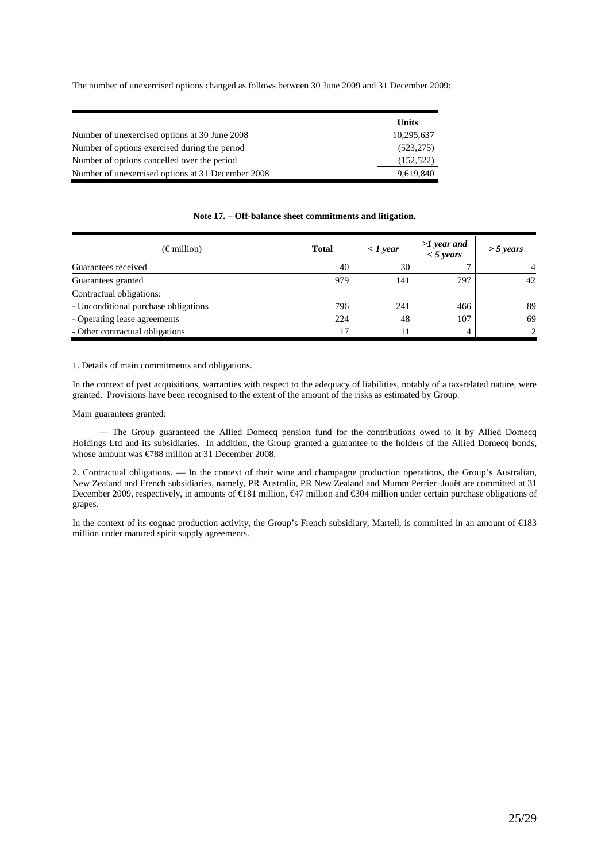The number of unexercised options changed as follows between 30 June 2009 and 31 December 2009:

|                                                   | Units      |
|---------------------------------------------------|------------|
| Number of unexercised options at 30 June 2008     | 10,295,637 |
| Number of options exercised during the period     | (523, 275) |
| Number of options cancelled over the period       | (152, 522) |
| Number of unexercised options at 31 December 2008 | 9,619,840  |

# **Note 17. – Off-balance sheet commitments and litigation.**

| $(\epsilon \text{ million})$         | <b>Total</b> | $\langle$ 1 year | $>1$ year and<br>$<$ 5 years | $>$ 5 years                 |
|--------------------------------------|--------------|------------------|------------------------------|-----------------------------|
| Guarantees received                  | 40           | 30               |                              |                             |
| Guarantees granted                   | 979          | 141              | 797                          | 42                          |
| Contractual obligations:             |              |                  |                              |                             |
| - Unconditional purchase obligations | 796          | 241              | 466                          | 89                          |
| - Operating lease agreements         | 224          | 48               | 107                          | 69                          |
| - Other contractual obligations      | 17           |                  |                              | $\mathcal{D}_{\mathcal{L}}$ |

1. Details of main commitments and obligations.

In the context of past acquisitions, warranties with respect to the adequacy of liabilities, notably of a tax-related nature, were granted. Provisions have been recognised to the extent of the amount of the risks as estimated by Group.

# Main guarantees granted:

 — The Group guaranteed the Allied Domecq pension fund for the contributions owed to it by Allied Domecq Holdings Ltd and its subsidiaries. In addition, the Group granted a guarantee to the holders of the Allied Domecq bonds, whose amount was €788 million at 31 December 2008.

2. Contractual obligations. — In the context of their wine and champagne production operations, the Group's Australian, New Zealand and French subsidiaries, namely, PR Australia, PR New Zealand and Mumm Perrier–Jouët are committed at 31 December 2009, respectively, in amounts of €181 million, €47 million and €304 million under certain puchase obligations of grapes.

In the context of its cognac production activity, the Group's French subsidiary, Martell, is committed in an amount of €183 million under matured spirit supply agreements.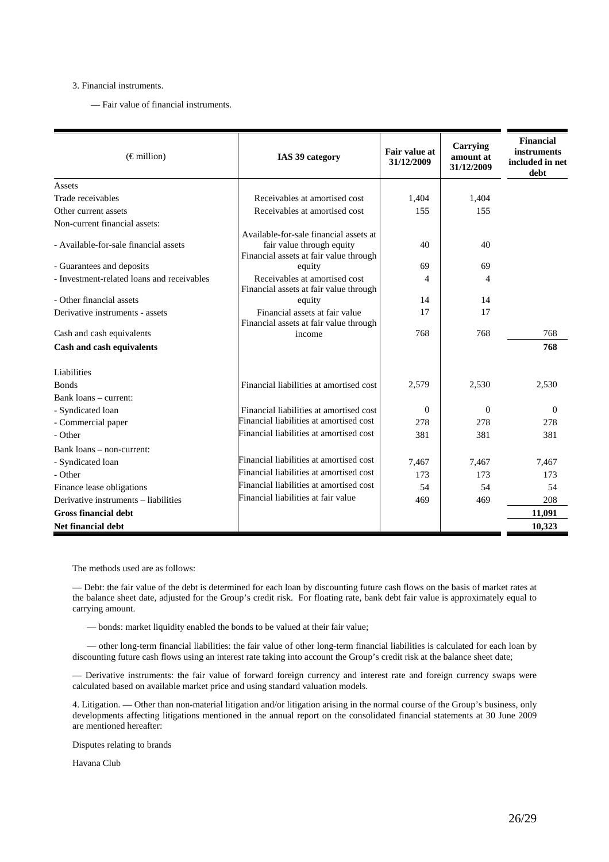# 3. Financial instruments.

— Fair value of financial instruments.

| $(\in$ million)                            | IAS 39 category                                                                                               | <b>Fair value at</b><br>31/12/2009 | Carrying<br>amount at<br>31/12/2009 | <b>Financial</b><br><b>instruments</b><br>included in net<br>debt |
|--------------------------------------------|---------------------------------------------------------------------------------------------------------------|------------------------------------|-------------------------------------|-------------------------------------------------------------------|
| Assets                                     |                                                                                                               |                                    |                                     |                                                                   |
| Trade receivables                          | Receivables at amortised cost                                                                                 | 1,404                              | 1,404                               |                                                                   |
| Other current assets                       | Receivables at amortised cost                                                                                 | 155                                | 155                                 |                                                                   |
| Non-current financial assets:              |                                                                                                               |                                    |                                     |                                                                   |
| - Available-for-sale financial assets      | Available-for-sale financial assets at<br>fair value through equity<br>Financial assets at fair value through | 40                                 | 40                                  |                                                                   |
| - Guarantees and deposits                  | equity                                                                                                        | 69                                 | 69                                  |                                                                   |
| - Investment-related loans and receivables | Receivables at amortised cost<br>Financial assets at fair value through                                       | $\overline{\mathcal{A}}$           | 4                                   |                                                                   |
| - Other financial assets                   | equity                                                                                                        | 14                                 | 14                                  |                                                                   |
| Derivative instruments - assets            | Financial assets at fair value<br>Financial assets at fair value through                                      | 17                                 | 17                                  |                                                                   |
| Cash and cash equivalents                  | income                                                                                                        | 768                                | 768                                 | 768                                                               |
| Cash and cash equivalents                  |                                                                                                               |                                    |                                     | 768                                                               |
| Liabilities                                |                                                                                                               |                                    |                                     |                                                                   |
| <b>Bonds</b>                               | Financial liabilities at amortised cost                                                                       | 2,579                              | 2,530                               | 2,530                                                             |
| Bank loans – current:                      |                                                                                                               |                                    |                                     |                                                                   |
| - Syndicated loan                          | Financial liabilities at amortised cost                                                                       | $\Omega$                           | $\Omega$                            | $\Omega$                                                          |
| - Commercial paper                         | Financial liabilities at amortised cost                                                                       | 278                                | 278                                 | 278                                                               |
| - Other                                    | Financial liabilities at amortised cost                                                                       | 381                                | 381                                 | 381                                                               |
| Bank loans – non-current:                  |                                                                                                               |                                    |                                     |                                                                   |
| - Syndicated loan                          | Financial liabilities at amortised cost                                                                       | 7,467                              | 7,467                               | 7,467                                                             |
| - Other                                    | Financial liabilities at amortised cost                                                                       | 173                                | 173                                 | 173                                                               |
| Finance lease obligations                  | Financial liabilities at amortised cost                                                                       | 54                                 | 54                                  | 54                                                                |
| Derivative instruments - liabilities       | Financial liabilities at fair value                                                                           | 469                                | 469                                 | 208                                                               |
| <b>Gross financial debt</b>                |                                                                                                               |                                    |                                     | 11,091                                                            |
| <b>Net financial debt</b>                  |                                                                                                               |                                    |                                     | 10,323                                                            |

The methods used are as follows:

— Debt: the fair value of the debt is determined for each loan by discounting future cash flows on the basis of market rates at the balance sheet date, adjusted for the Group's credit risk. For floating rate, bank debt fair value is approximately equal to carrying amount.

— bonds: market liquidity enabled the bonds to be valued at their fair value;

— other long-term financial liabilities: the fair value of other long-term financial liabilities is calculated for each loan by discounting future cash flows using an interest rate taking into account the Group's credit risk at the balance sheet date;

— Derivative instruments: the fair value of forward foreign currency and interest rate and foreign currency swaps were calculated based on available market price and using standard valuation models.

4. Litigation. — Other than non-material litigation and/or litigation arising in the normal course of the Group's business, only developments affecting litigations mentioned in the annual report on the consolidated financial statements at 30 June 2009 are mentioned hereafter:

Disputes relating to brands

Havana Club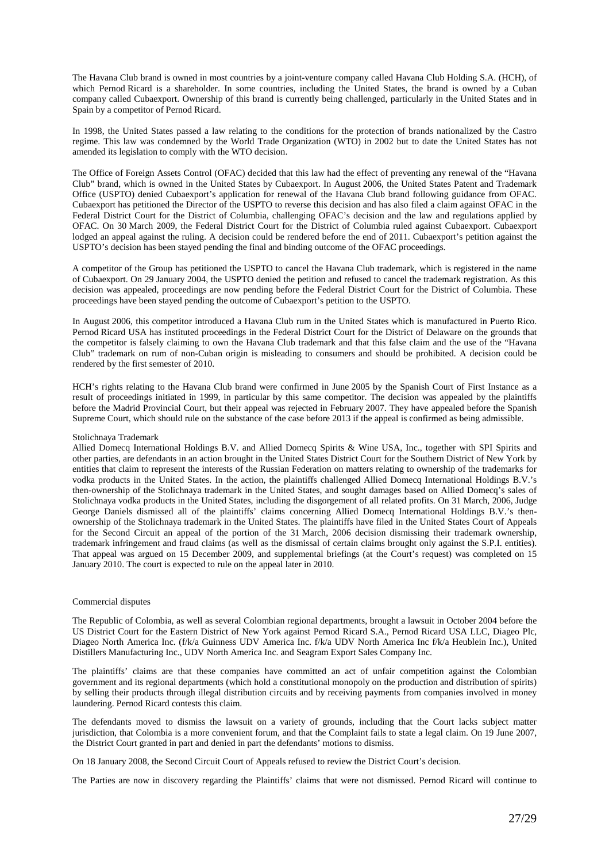The Havana Club brand is owned in most countries by a joint-venture company called Havana Club Holding S.A. (HCH), of which Pernod Ricard is a shareholder. In some countries, including the United States, the brand is owned by a Cuban company called Cubaexport. Ownership of this brand is currently being challenged, particularly in the United States and in Spain by a competitor of Pernod Ricard.

In 1998, the United States passed a law relating to the conditions for the protection of brands nationalized by the Castro regime. This law was condemned by the World Trade Organization (WTO) in 2002 but to date the United States has not amended its legislation to comply with the WTO decision.

The Office of Foreign Assets Control (OFAC) decided that this law had the effect of preventing any renewal of the "Havana Club" brand, which is owned in the United States by Cubaexport. In August 2006, the United States Patent and Trademark Office (USPTO) denied Cubaexport's application for renewal of the Havana Club brand following guidance from OFAC. Cubaexport has petitioned the Director of the USPTO to reverse this decision and has also filed a claim against OFAC in the Federal District Court for the District of Columbia, challenging OFAC's decision and the law and regulations applied by OFAC. On 30 March 2009, the Federal District Court for the District of Columbia ruled against Cubaexport. Cubaexport lodged an appeal against the ruling. A decision could be rendered before the end of 2011. Cubaexport's petition against the USPTO's decision has been stayed pending the final and binding outcome of the OFAC proceedings.

A competitor of the Group has petitioned the USPTO to cancel the Havana Club trademark, which is registered in the name of Cubaexport. On 29 January 2004, the USPTO denied the petition and refused to cancel the trademark registration. As this decision was appealed, proceedings are now pending before the Federal District Court for the District of Columbia. These proceedings have been stayed pending the outcome of Cubaexport's petition to the USPTO.

In August 2006, this competitor introduced a Havana Club rum in the United States which is manufactured in Puerto Rico. Pernod Ricard USA has instituted proceedings in the Federal District Court for the District of Delaware on the grounds that the competitor is falsely claiming to own the Havana Club trademark and that this false claim and the use of the "Havana Club" trademark on rum of non-Cuban origin is misleading to consumers and should be prohibited. A decision could be rendered by the first semester of 2010.

HCH's rights relating to the Havana Club brand were confirmed in June 2005 by the Spanish Court of First Instance as a result of proceedings initiated in 1999, in particular by this same competitor. The decision was appealed by the plaintiffs before the Madrid Provincial Court, but their appeal was rejected in February 2007. They have appealed before the Spanish Supreme Court, which should rule on the substance of the case before 2013 if the appeal is confirmed as being admissible.

#### Stolichnaya Trademark

Allied Domecq International Holdings B.V. and Allied Domecq Spirits & Wine USA, Inc., together with SPI Spirits and other parties, are defendants in an action brought in the United States District Court for the Southern District of New York by entities that claim to represent the interests of the Russian Federation on matters relating to ownership of the trademarks for vodka products in the United States. In the action, the plaintiffs challenged Allied Domecq International Holdings B.V.'s then-ownership of the Stolichnaya trademark in the United States, and sought damages based on Allied Domecq's sales of Stolichnaya vodka products in the United States, including the disgorgement of all related profits. On 31 March, 2006, Judge George Daniels dismissed all of the plaintiffs' claims concerning Allied Domecq International Holdings B.V.'s thenownership of the Stolichnaya trademark in the United States. The plaintiffs have filed in the United States Court of Appeals for the Second Circuit an appeal of the portion of the 31 March, 2006 decision dismissing their trademark ownership, trademark infringement and fraud claims (as well as the dismissal of certain claims brought only against the S.P.I. entities). That appeal was argued on 15 December 2009, and supplemental briefings (at the Court's request) was completed on 15 January 2010. The court is expected to rule on the appeal later in 2010.

#### Commercial disputes

The Republic of Colombia, as well as several Colombian regional departments, brought a lawsuit in October 2004 before the US District Court for the Eastern District of New York against Pernod Ricard S.A., Pernod Ricard USA LLC, Diageo Plc, Diageo North America Inc. (f/k/a Guinness UDV America Inc. f/k/a UDV North America Inc f/k/a Heublein Inc.), United Distillers Manufacturing Inc., UDV North America Inc. and Seagram Export Sales Company Inc.

The plaintiffs' claims are that these companies have committed an act of unfair competition against the Colombian government and its regional departments (which hold a constitutional monopoly on the production and distribution of spirits) by selling their products through illegal distribution circuits and by receiving payments from companies involved in money laundering. Pernod Ricard contests this claim.

The defendants moved to dismiss the lawsuit on a variety of grounds, including that the Court lacks subject matter jurisdiction, that Colombia is a more convenient forum, and that the Complaint fails to state a legal claim. On 19 June 2007, the District Court granted in part and denied in part the defendants' motions to dismiss.

On 18 January 2008, the Second Circuit Court of Appeals refused to review the District Court's decision.

The Parties are now in discovery regarding the Plaintiffs' claims that were not dismissed. Pernod Ricard will continue to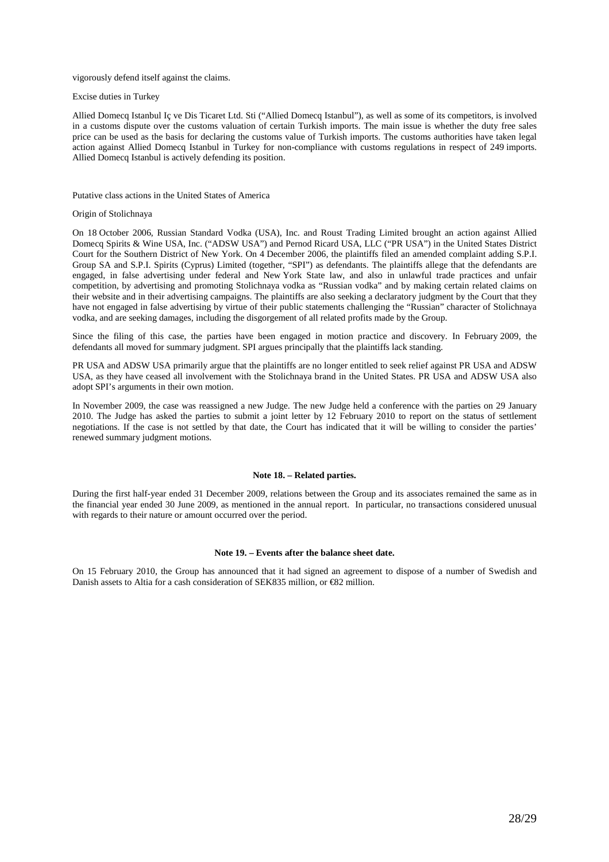### vigorously defend itself against the claims.

Excise duties in Turkey

Allied Domecq Istanbul Iç ve Dis Ticaret Ltd. Sti ("Allied Domecq Istanbul"), as well as some of its competitors, is involved in a customs dispute over the customs valuation of certain Turkish imports. The main issue is whether the duty free sales price can be used as the basis for declaring the customs value of Turkish imports. The customs authorities have taken legal action against Allied Domecq Istanbul in Turkey for non-compliance with customs regulations in respect of 249 imports. Allied Domecq Istanbul is actively defending its position.

### Putative class actions in the United States of America

#### Origin of Stolichnaya

On 18 October 2006, Russian Standard Vodka (USA), Inc. and Roust Trading Limited brought an action against Allied Domecq Spirits & Wine USA, Inc. ("ADSW USA") and Pernod Ricard USA, LLC ("PR USA") in the United States District Court for the Southern District of New York. On 4 December 2006, the plaintiffs filed an amended complaint adding S.P.I. Group SA and S.P.I. Spirits (Cyprus) Limited (together, "SPI") as defendants. The plaintiffs allege that the defendants are engaged, in false advertising under federal and New York State law, and also in unlawful trade practices and unfair competition, by advertising and promoting Stolichnaya vodka as "Russian vodka" and by making certain related claims on their website and in their advertising campaigns. The plaintiffs are also seeking a declaratory judgment by the Court that they have not engaged in false advertising by virtue of their public statements challenging the "Russian" character of Stolichnaya vodka, and are seeking damages, including the disgorgement of all related profits made by the Group.

Since the filing of this case, the parties have been engaged in motion practice and discovery. In February 2009, the defendants all moved for summary judgment. SPI argues principally that the plaintiffs lack standing.

PR USA and ADSW USA primarily argue that the plaintiffs are no longer entitled to seek relief against PR USA and ADSW USA, as they have ceased all involvement with the Stolichnaya brand in the United States. PR USA and ADSW USA also adopt SPI's arguments in their own motion.

In November 2009, the case was reassigned a new Judge. The new Judge held a conference with the parties on 29 January 2010. The Judge has asked the parties to submit a joint letter by 12 February 2010 to report on the status of settlement negotiations. If the case is not settled by that date, the Court has indicated that it will be willing to consider the parties' renewed summary judgment motions.

# **Note 18. – Related parties.**

During the first half-year ended 31 December 2009, relations between the Group and its associates remained the same as in the financial year ended 30 June 2009, as mentioned in the annual report. In particular, no transactions considered unusual with regards to their nature or amount occurred over the period.

# **Note 19. – Events after the balance sheet date.**

On 15 February 2010, the Group has announced that it had signed an agreement to dispose of a number of Swedish and Danish assets to Altia for a cash consideration of SEK835 million, or €82 million.